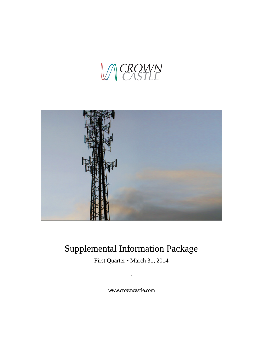



# <span id="page-0-0"></span>Supplemental Information Package

First Quarter • March 31, 2014

,

www.crowncastle.com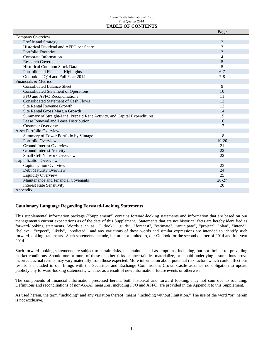#### Crown Castle International Corp. First Quarter 2014 **TABLE OF CONTENTS**

|                                                                           | Page           |
|---------------------------------------------------------------------------|----------------|
| Company Overview                                                          |                |
| Profile and Strategy                                                      | $\overline{2}$ |
| Historical Dividend and AFFO per Share                                    | 3              |
| Portfolio Footprint                                                       | 3              |
| Corporate Information                                                     | 4              |
| <b>Research Coverage</b>                                                  | 5              |
| <b>Historical Common Stock Data</b>                                       | 5              |
| Portfolio and Financial Highlights                                        | $6 - 7$        |
| Outlook - 2Q14 and Full Year 2014                                         | $7 - 8$        |
| Financials & Metrics                                                      |                |
| <b>Consolidated Balance Sheet</b>                                         | 9              |
| <b>Consolidated Statement of Operations</b>                               | 10             |
| FFO and AFFO Reconciliations                                              | 11             |
| <b>Consolidated Statement of Cash Flows</b>                               | 12             |
| Site Rental Revenue Growth                                                | 13             |
| Site Rental Gross Margin Growth                                           | 14             |
| Summary of Straight-Line, Prepaid Rent Activity, and Capital Expenditures | 15             |
| Lease Renewal and Lease Distribution                                      | 16             |
| <b>Customer Overview</b>                                                  | 17             |
| <b>Asset Portfolio Overview</b>                                           |                |
| Summary of Tower Portfolio by Vintage                                     | 18             |
| Portfolio Overview                                                        | $19-20$        |
| <b>Ground Interest Overview</b>                                           | 21             |
| Ground Interest Activity                                                  | 22             |
| <b>Small Cell Network Overview</b>                                        | 22             |
| <b>Capitalization Overview</b>                                            |                |
| Capitalization Overview                                                   | 23             |
| Debt Maturity Overview                                                    | 24             |
| Liquidity Overview                                                        | 25             |
| Maintenance and Financial Covenants                                       | $26 - 27$      |
| <b>Interest Rate Sensitivity</b>                                          | 28             |
| Appendix                                                                  |                |

# **Cautionary Language Regarding Forward-Looking Statements**

This supplemental information package ("Supplement") contains forward-looking statements and information that are based on our management's current expectations as of the date of this Supplement. Statements that are not historical facts are hereby identified as forward-looking statements. Words such as "Outlook", "guide", "forecast", "estimate", "anticipate", "project", "plan", "intend", "believe", "expect", "likely", "predicted", and any variations of these words and similar expressions are intended to identify such forward looking statements. Such statements include, but are not limited to, our Outlook for the second quarter of 2014 and full year 2014.

Such forward-looking statements are subject to certain risks, uncertainties and assumptions, including, but not limited to, prevailing market conditions. Should one or more of these or other risks or uncertainties materialize, or should underlying assumptions prove incorrect, actual results may vary materially from those expected. More information about potential risk factors which could affect our results is included in our filings with the Securities and Exchange Commission. Crown Castle assumes no obligation to update publicly any forward-looking statements, whether as a result of new information, future events or otherwise.

The components of financial information presented herein, both historical and forward looking, may not sum due to rounding. Definitions and reconciliations of non-GAAP measures, including FFO and AFFO, are provided in the Appendix to this Supplement.

As used herein, the term "including" and any variation thereof, means "including without limitation." The use of the word "or" herein is not exclusive.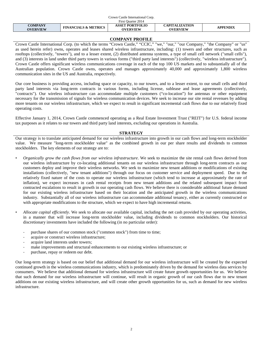| Crown Castle International Corp. |                                 |                                           |                                          |                 |  |
|----------------------------------|---------------------------------|-------------------------------------------|------------------------------------------|-----------------|--|
| First Ouarter 2014               |                                 |                                           |                                          |                 |  |
| COMPANY<br><b>OVERVIEW</b>       | <b>FINANCIALS &amp; METRICS</b> | <b>ASSET PORTFOLIO</b><br><b>OVERVIEW</b> | <b>CAPITALIZATION</b><br><b>OVERVIEW</b> | <b>APPENDIX</b> |  |

# **COMPANY PROFILE**

Crown Castle International Corp. (to which the terms "Crown Castle," "CCIC," "we," "our," "our Company," "the Company" or "us" as used herein refer) owns, operates and leases shared wireless infrastructure, including: (1) towers and other structures, such as rooftops (collectively, "towers"), and to a lesser extent, (2) distributed antenna systems, a type of small cell network ("small cells"), and (3) interests in land under third party towers in various forms ("third party land interests") (collectively, "wireless infrastructure"). Crown Castle offers significant wireless communications coverage in each of the top 100 US markets and to substantially all of the Australian population. Crown Castle owns, operates and manages approximately 40,000 and approximately 1,800 wireless communication sites in the US and Australia, respectively.

Our core business is providing access, including space or capacity, to our towers, and to a lesser extent, to our small cells and third party land interests via long-term contracts in various forms, including license, sublease and lease agreements (collectively, "contracts"). Our wireless infrastructure can accommodate multiple customers ("co-location") for antennas or other equipment necessary for the transmission of signals for wireless communication devices. We seek to increase our site rental revenues by adding more tenants on our wireless infrastructure, which we expect to result in significant incremental cash flows due to our relatively fixed operating costs.

Effective January 1, 2014, Crown Castle commenced operating as a Real Estate Investment Trust ("REIT") for U.S. federal income tax purposes as it relates to our towers and third party land interests, excluding our operations in Australia.

## **STRATEGY**

Our strategy is to translate anticipated demand for our wireless infrastructure into growth in our cash flows and long-term stockholder value. We measure "long-term stockholder value" as the combined growth in our per share results and dividends to common stockholders. The key elements of our strategy are to:

- *Organically grow the cash flows from our wireless infrastructure*. We seek to maximize the site rental cash flows derived from our wireless infrastructure by co-locating additional tenants on our wireless infrastructure through long-term contracts as our customers deploy and improve their wireless networks. We seek to maximize new tenant additions or modifications of existing installations (collectively, "new tenant additions") through our focus on customer service and deployment speed. Due to the relatively fixed nature of the costs to operate our wireless infrastructure (which tend to increase at approximately the rate of inflation), we expect increases in cash rental receipts from new tenant additions and the related subsequent impact from contracted escalations to result in growth in our operating cash flows. We believe there is considerable additional future demand for our existing wireless infrastructure based on their location and the anticipated growth in the wireless communications industry. Substantially all of our wireless infrastructure can accommodate additional tenancy, either as currently constructed or with appropriate modifications to the structure, which we expect to have high incremental returns.
- *Allocate capital efficiently*. We seek to allocate our available capital, including the net cash provided by our operating activities, in a manner that will increase long-term stockholder value, including dividends to common stockholders. Our historical discretionary investments have included the following (in no particular order):
	- purchase shares of our common stock ("common stock") from time to time;
	- acquire or construct wireless infrastructure;
	- acquire land interests under towers;
	- make improvements and structural enhancements to our existing wireless infrastructure; or
	- purchase, repay or redeem our debt.

Our long-term strategy is based on our belief that additional demand for our wireless infrastructure will be created by the expected continued growth in the wireless communications industry, which is predominately driven by the demand for wireless data services by consumers. We believe that additional demand for wireless infrastructure will create future growth opportunities for us. We believe that such demand for our wireless infrastructure will continue, will result in organic growth of our cash flows due to new tenant additions on our existing wireless infrastructure, and will create other growth opportunities for us, such as demand for new wireless infrastructure.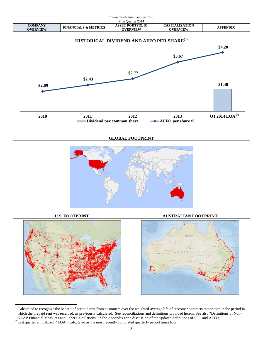

<span id="page-3-0"></span>l  $1$  Calculated to recognize the benefit of prepaid rent from customers over the weighted-average life of customer contracts rather than in the period in which the prepaid rent was received, as previously calculated. See reconciliations and definitions provided herein. See also "Definitions of Non-GAAP Financial Measures and Other Calculations" in the Appendix for a discussion of the updated definitions of FFO and AFFO. 2 Last quarter annualized ("LQA") calculated as the most recently completed quarterly period times four.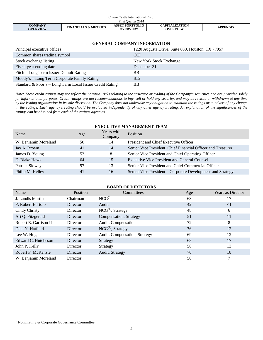| Crown Castle International Corp. |                                 |                                           |                                   |          |  |
|----------------------------------|---------------------------------|-------------------------------------------|-----------------------------------|----------|--|
| First Ouarter 2014               |                                 |                                           |                                   |          |  |
| COMPANY<br><b>OVERVIEW</b>       | <b>FINANCIALS &amp; METRICS</b> | <b>ASSET PORTFOLIO</b><br><b>OVERVIEW</b> | CAPITALIZATION<br><b>OVERVIEW</b> | APPENDIX |  |

| <b>GENERAL COMPANY INFORMATION</b>                       |                                                  |  |  |  |  |
|----------------------------------------------------------|--------------------------------------------------|--|--|--|--|
| Principal executive offices                              | 1220 Augusta Drive, Suite 600, Houston, TX 77057 |  |  |  |  |
| Common shares trading symbol                             | <b>CCI</b>                                       |  |  |  |  |
| Stock exchange listing                                   | New York Stock Exchange                          |  |  |  |  |
| Fiscal year ending date                                  | December 31                                      |  |  |  |  |
| Fitch – Long Term Issuer Default Rating                  | <b>BB</b>                                        |  |  |  |  |
| Moody's – Long Term Corporate Family Rating              | Ba <sub>2</sub>                                  |  |  |  |  |
| Standard & Poor's - Long Term Local Issuer Credit Rating | <b>BB</b>                                        |  |  |  |  |

*Note: These credit ratings may not reflect the potential risks relating to the structure or trading of the Company's securities and are provided solely for informational purposes. Credit ratings are not recommendations to buy, sell or hold any security, and may be revised or withdrawn at any time by the issuing organization in its sole discretion. The Company does not undertake any obligation to maintain the ratings or to advise of any change in the ratings. Each agency's rating should be evaluated independently of any other agency's rating. An explanation of the significances of the ratings can be obtained from each of the ratings agencies.*

### **EXECUTIVE MANAGEMENT TEAM**

| Name                 | Age | Years with<br>Company | Position                                                     |
|----------------------|-----|-----------------------|--------------------------------------------------------------|
| W. Benjamin Moreland | 50  | 14                    | President and Chief Executive Officer                        |
| Jay A. Brown         | 41  | 14                    | Senior Vice President, Chief Financial Officer and Treasurer |
| James D. Young       | 52  | 8                     | Senior Vice President and Chief Operating Officer            |
| E. Blake Hawk        | 64  | 15                    | <b>Executive Vice President and General Counsel</b>          |
| Patrick Slowey       | 57  | 13                    | Senior Vice President and Chief Commercial Officer           |
| Philip M. Kelley     | 41  | 16                    | Senior Vice President-Corporate Development and Strategy     |

#### **BOARD OF DIRECTORS**

| Name                  | Position        | Committees                    | Age | Years as Director |
|-----------------------|-----------------|-------------------------------|-----|-------------------|
| J. Landis Martin      | Chairman        | $NCG^{(1)}$                   | 68  | 17                |
| P. Robert Bartolo     | <b>Director</b> | Audit                         | 42  | $\leq$ 1          |
| Cindy Christy         | <b>Director</b> | $NCG(1)$ , Strategy           | 48  | 6                 |
| Ari Q. Fitzgerald     | Director        | Compensation, Strategy        | 51  | 11                |
| Robert E. Garrison II | Director        | Audit, Compensation           | 72  | 8                 |
| Dale N. Hatfield      | Director        | $NCG^{(1)}$ , Strategy        | 76  | 12                |
| Lee W. Hogan          | Director        | Audit, Compensation, Strategy | 69  | 12                |
| Edward C. Hutcheson   | <b>Director</b> | Strategy                      | 68  | 17                |
| John P. Kelly         | Director        | Strategy                      | 56  | 13                |
| Robert F. McKenzie    | Director        | Audit, Strategy               | 70  | 18                |
| W. Benjamin Moreland  | Director        |                               | 50  | 7                 |

<span id="page-4-0"></span><sup>1</sup> Nominating & Corporate Governance Committee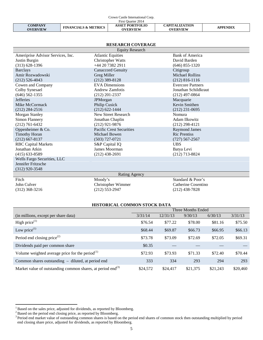|                                   |                                 | Crown Castle International Corp.          |                                          |                 |
|-----------------------------------|---------------------------------|-------------------------------------------|------------------------------------------|-----------------|
|                                   |                                 | First Ouarter 2014                        |                                          |                 |
| <b>COMPANY</b><br><b>OVERVIEW</b> | <b>FINANCIALS &amp; METRICS</b> | <b>ASSET PORTFOLIO</b><br><b>OVERVIEW</b> | <b>CAPITALIZATION</b><br><b>OVERVIEW</b> | <b>APPENDIX</b> |

| <b>RESEARCH COVERAGE</b>                           |                                                      |                                                  |  |  |  |
|----------------------------------------------------|------------------------------------------------------|--------------------------------------------------|--|--|--|
|                                                    | <b>Equity Research</b>                               |                                                  |  |  |  |
| Ameriprise Advisor Services, Inc.<br>Justin Burgin | <b>Atlantic Equities</b><br><b>Christopher Watts</b> | <b>Bank of America</b><br>David Barden           |  |  |  |
| $(313) 628 - 1396$                                 | +44 20 7382 2911                                     | $(646)$ 855-1320                                 |  |  |  |
| <b>Barclays</b>                                    | <b>Canaccord Genuity</b>                             | Citigroup                                        |  |  |  |
| Amir Rozwadowski<br>$(212)$ 526-4043               | Greg Miller<br>$(212)$ 389-8128                      | <b>Michael Rollins</b><br>$(212) 816 - 1116$     |  |  |  |
| Cowen and Company<br>Colby Synesael                | <b>EVA</b> Dimensions<br>Andrew Zamfotis             | <b>Evercore Partners</b><br>Jonathan Schildkraut |  |  |  |
| $(646)$ 562-1355<br><b>Jefferies</b>               | $(212)$ 201-2337<br>JPMorgan                         | $(212)$ 497-0864<br>Macquarie                    |  |  |  |
| Mike McCormack<br>$(212)$ 284-2516                 | Philip Cusick<br>$(212) 622 - 1444$                  | Kevin Smithen<br>$(212)$ 231-0695                |  |  |  |
| Morgan Stanley                                     | New Street Research                                  | Nomura                                           |  |  |  |
| Simon Flannery                                     | Jonathan Chaplin                                     | Adam Ilkowitz                                    |  |  |  |
| $(212)$ 761-6432                                   | $(212)$ 921-9876                                     | $(212)$ 298-4121                                 |  |  |  |
| Oppenheimer & Co.                                  | <b>Pacific Crest Securities</b>                      | <b>Raymond James</b>                             |  |  |  |
| <b>Timothy Horan</b>                               | Michael Bowen                                        | <b>Ric Prentiss</b>                              |  |  |  |
| $(212)$ 667-8137                                   | $(503)$ 727-0721                                     | $(727) 567 - 2567$                               |  |  |  |
| <b>RBC</b> Capital Markets                         | S&P Capital IQ                                       | <b>UBS</b>                                       |  |  |  |
| Jonathan Atkin                                     | James Moorman                                        | Batya Levi                                       |  |  |  |
| $(415)$ 633-8589                                   | $(212)$ 438-2691                                     | $(212)$ 713-8824                                 |  |  |  |
| Wells Fargo Securities, LLC                        |                                                      |                                                  |  |  |  |
| Jennifer Fritzsche<br>$(312)$ 920-3548             |                                                      |                                                  |  |  |  |
| <b>Rating Agency</b>                               |                                                      |                                                  |  |  |  |
| Fitch                                              | Moody's                                              | Standard & Poor's                                |  |  |  |
| John Culver                                        | Christopher Wimmer                                   | Catherine Cosentino                              |  |  |  |
| $(312)$ 368-3216                                   | $(212) 553 - 2947$                                   | $(212)$ 438-7828                                 |  |  |  |

### **HISTORICAL COMMON STOCK DATA**

|                                                                         | Three Months Ended |          |          |          |          |  |
|-------------------------------------------------------------------------|--------------------|----------|----------|----------|----------|--|
| (in millions, except per share data)                                    | 3/31/14            | 12/31/13 | 9/30/13  | 6/30/13  | 3/31/13  |  |
| High price $(1)$                                                        | \$76.54            | \$77.22  | \$78.00  | \$81.16  | \$75.50  |  |
| Low price $^{(1)}$                                                      | \$68.44            | \$69.87  | \$66.73  | \$66.95  | \$66.13  |  |
| Period end closing price <sup>(2)</sup>                                 | \$73.78            | \$73.09  | \$72.69  | \$72.05  | \$69.31  |  |
| Dividends paid per common share                                         | \$0.35             |          |          |          |          |  |
| Volume weighted average price for the period $^{(1)}$                   | \$72.93            | \$73.93  | \$71.33  | \$72.40  | \$70.44  |  |
| Common shares outstanding – diluted, at period end                      | 333                | 334      | 293      | 294      | 293      |  |
| Market value of outstanding common shares, at period end <sup>(3)</sup> | \$24,572           | \$24,417 | \$21,375 | \$21,243 | \$20,460 |  |

<span id="page-5-0"></span><sup>&</sup>lt;sup>1</sup> Based on the sales price, adjusted for dividends, as reported by Bloomberg.<br><sup>2</sup> Based on the period end closing price, as reported by Bloomberg.<br><sup>3</sup> Period end market value of outstanding common shares is based on the end closing share price, adjusted for dividends, as reported by Bloomberg.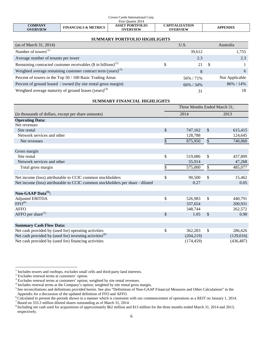|                                   |                                 | Crown Castle International Corp.          |                                          |                 |
|-----------------------------------|---------------------------------|-------------------------------------------|------------------------------------------|-----------------|
|                                   |                                 | First Ouarter 2014                        |                                          |                 |
| <b>COMPANY</b><br><b>OVERVIEW</b> | <b>FINANCIALS &amp; METRICS</b> | <b>ASSET PORTFOLIO</b><br><b>OVERVIEW</b> | <b>CAPITALIZATION</b><br><b>OVERVIEW</b> | <b>APPENDIX</b> |

## **SUMMARY PORTFOLIO HIGHLIGHTS**

| (as of March 31, 2014)                                                      |    | U.S.      |    | Australia      |
|-----------------------------------------------------------------------------|----|-----------|----|----------------|
| Number of towers <sup><math>(1)</math></sup>                                |    | 39,612    |    | 1,755          |
| Average number of tenants per tower                                         |    | 2.3       |    | 2.3            |
| Remaining contracted customer receivables $(\$$ in billions) <sup>(2)</sup> | ۰D | 21        | -S |                |
| Weighted average remaining customer contract term $(years)^{(3)}$           |    | 8         |    |                |
| Percent of towers in the Top 50 / 100 Basic Trading Areas                   |    | 56%/71%   |    | Not Applicable |
| Percent of ground leased / owned (by site rental gross margin)              |    | 66% / 34% |    | 86% / 14%      |
| Weighted average maturity of ground leases (years) <sup>(4)</sup>           |    | 31        |    |                |

**SUMMARY FINANCIAL HIGHLIGHTS**

|                                                                                | Three Months Ended March 31, |                           |            |  |
|--------------------------------------------------------------------------------|------------------------------|---------------------------|------------|--|
| (in thousands of dollars, except per share amounts)                            | 2014                         |                           | 2013       |  |
| <b>Operating Data:</b>                                                         |                              |                           |            |  |
| Net revenues                                                                   |                              |                           |            |  |
| Site rental                                                                    | \$<br>747,162                | $\mathcal{S}$             | 615,415    |  |
| Network services and other                                                     | 128,788                      |                           | 124,645    |  |
| Net revenues                                                                   | \$<br>875,950                | $\boldsymbol{\mathsf{S}}$ | 740,060    |  |
|                                                                                |                              |                           |            |  |
| Gross margin                                                                   |                              |                           |            |  |
| Site rental                                                                    | \$<br>519,086                | \$                        | 437,809    |  |
| Network services and other                                                     | 55,914                       |                           | 47,268     |  |
| Total gross margin                                                             | \$<br>575,000                | $\frac{1}{2}$             | 485,077    |  |
|                                                                                |                              |                           |            |  |
| Net income (loss) attributable to CCIC common stockholders                     | \$<br>90,500                 | \$                        | 15,462     |  |
| Net income (loss) attributable to CCIC common stockholders per share - diluted | 0.27                         |                           | 0.05       |  |
|                                                                                |                              |                           |            |  |
| Non-GAAP Data $^{(5)}$ :                                                       |                              |                           |            |  |
| <b>Adjusted EBITDA</b>                                                         | \$<br>526,983                | \$                        | 440,791    |  |
| FFO <sup>(6)</sup>                                                             | 337,654                      |                           | 200,931    |  |
| <b>AFFO</b>                                                                    | 348,744                      |                           | 262,572    |  |
| AFFO per share <sup>(7)</sup>                                                  | \$<br>1.05                   | \$                        | 0.90       |  |
|                                                                                |                              |                           |            |  |
| <b>Summary Cash Flow Data:</b>                                                 |                              |                           |            |  |
| Net cash provided by (used for) operating activities                           | \$<br>362,283                | \$                        | 286,626    |  |
| Net cash provided by (used for) investing activities <sup>(8)</sup>            | (204, 219)                   |                           | (129,016)  |  |
| Net cash provided by (used for) financing activities                           | (174, 459)                   |                           | (436, 487) |  |

<span id="page-6-1"></span>

<span id="page-6-2"></span>

<span id="page-6-0"></span><sup>&</sup>lt;sup>1</sup> Includes towers and rooftops, excludes small cells and third-party land interests.<br>
<sup>2</sup> Excludes renewal terms at customers' option.<br>
<sup>3</sup> Excludes renewal terms at customers' option; weighted by site rental revenues.<br> Appendix for a discussion of the updated definition of FFO and AFFO.

<span id="page-6-3"></span><sup>&</sup>lt;sup>6</sup> Calculated to present the periods shown in a manner which is consistent with our commencement of operations as a REIT on January 1, 2014.<br><sup>7</sup> Based on 333.3 million diluted shares outstanding as of March 31, 2014.

<sup>8</sup> Including net cash used for acquisitions of approximately \$62 million and \$13 million for the three months ended March 31, 2014 and 2013, respectively.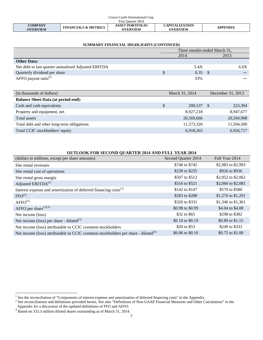| Crown Castle International Corp. |                                 |                                           |                                          |                 |  |
|----------------------------------|---------------------------------|-------------------------------------------|------------------------------------------|-----------------|--|
| First Ouarter 2014               |                                 |                                           |                                          |                 |  |
| COMPANY<br><b>OVERVIEW</b>       | <b>FINANCIALS &amp; METRICS</b> | <b>ASSET PORTFOLIO</b><br><b>OVERVIEW</b> | <b>CAPITALIZATION</b><br><b>OVERVIEW</b> | <b>APPENDIX</b> |  |

| SUMMARY FINANCIAL HIGHLIGHTS (CONTINUED)            |                              |                |                   |           |  |  |  |
|-----------------------------------------------------|------------------------------|----------------|-------------------|-----------|--|--|--|
|                                                     | Three months ended March 31, |                |                   |           |  |  |  |
|                                                     |                              | 2014           | 2013              |           |  |  |  |
| <b>Other Data:</b>                                  |                              |                |                   |           |  |  |  |
| Net debt to last quarter annualized Adjusted EBITDA |                              | 5.4X           |                   | 6.0X      |  |  |  |
| Quarterly dividend per share                        | \$                           | 0.35           | - \$              |           |  |  |  |
| AFFO payout ratio <sup>(2)</sup>                    |                              | 33%            |                   |           |  |  |  |
|                                                     |                              |                |                   |           |  |  |  |
| (in thousands of dollars)                           |                              | March 31, 2014 | December 31, 2013 |           |  |  |  |
| <b>Balance Sheet Data (at period end):</b>          |                              |                |                   |           |  |  |  |
| Cash and cash equivalents                           | \$                           | 200,537        | -S                | 223,394   |  |  |  |
| Property and equipment, net                         |                              | 8.927.218      |                   | 8,947,677 |  |  |  |

|  |  | SUMMARY FINANCIAL HIGHLIGHTS (CONTINUED) |  |
|--|--|------------------------------------------|--|
|--|--|------------------------------------------|--|

# Total assets 20,569,666 20,594,908 Total debt and other long-term obligations 11,573,326 11,573,326 11,594,500 Total CCIC stockholders' equity 6,918,265 6,926,717

| <b>OUTLOOK FOR SECOND QUARTER 2014 AND FULL YEAR 2014</b>                                     |                     |                    |  |  |  |  |
|-----------------------------------------------------------------------------------------------|---------------------|--------------------|--|--|--|--|
| (dollars in millions, except per share amounts)                                               | Second Quarter 2014 | Full Year 2014     |  |  |  |  |
| Site rental revenues                                                                          | \$740 to \$745      | \$2,983 to \$2,993 |  |  |  |  |
| Site rental cost of operations                                                                | \$230 to \$235      | \$926 to \$936     |  |  |  |  |
| Site rental gross margin                                                                      | \$507 to \$512      | \$2,052 to \$2,062 |  |  |  |  |
| Adjusted $EBITDA(2)$                                                                          | \$516 to \$521      | \$2,066 to \$2,081 |  |  |  |  |
| Interest expense and amortization of deferred financing costs <sup>(1)</sup>                  | \$142 to \$147      | \$570 to \$580     |  |  |  |  |
| FFO <sup>(2)</sup>                                                                            | \$283 to \$288      | \$1,276 to \$1,291 |  |  |  |  |
| AFFO <sup>(2)</sup>                                                                           | \$326 to \$331      | \$1,346 to \$1,361 |  |  |  |  |
| AFFO per share <sup><math>(2)(3)</math></sup>                                                 | \$0.98 to \$0.99    | \$4.04 to \$4.08   |  |  |  |  |
| Net income (loss)                                                                             | \$32 to \$65        | \$298 to \$382     |  |  |  |  |
| Net income (loss) per share - diluted $^{(3)}$                                                | \$0.10 to \$0.19    | \$0.89 to \$1.15   |  |  |  |  |
| Net income (loss) attributable to CCIC common stockholders                                    | \$20 to \$53        | \$249 to \$333     |  |  |  |  |
| Net income (loss) attributable to CCIC common stockholders per share - diluted <sup>(3)</sup> | \$0.06 to \$0.16    | \$0.75 to \$1.00   |  |  |  |  |

<span id="page-7-2"></span><span id="page-7-0"></span><sup>&</sup>lt;sup>1</sup> See the reconciliation of "Components of interest expense and amortization of deferred financing costs" in the Appendix.

 $^1$  See the reconciliation of "Components of interest expense and amortization of deferred financing costs" in the Appendix.<br><sup>2</sup> See reconciliations and definitions provided herein. See also "Definitions of Non-GAAP Fina Appendix for a discussion of the updated definitions of FFO and AFFO.

<span id="page-7-1"></span><sup>&</sup>lt;sup>3</sup> Based on 333.3 million diluted shares outstanding as of March 31, 2014.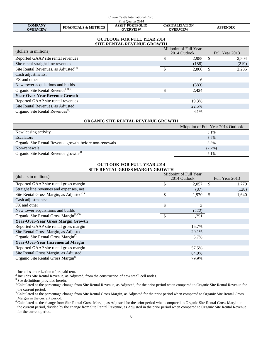| Crown Castle International Corp.  |                                 |                                           |                                          |                 |  |
|-----------------------------------|---------------------------------|-------------------------------------------|------------------------------------------|-----------------|--|
| First Ouarter 2014                |                                 |                                           |                                          |                 |  |
| <b>COMPANY</b><br><b>OVERVIEW</b> | <b>FINANCIALS &amp; METRICS</b> | <b>ASSET PORTFOLIO</b><br><b>OVERVIEW</b> | <b>CAPITALIZATION</b><br><b>OVERVIEW</b> | <b>APPENDIX</b> |  |

#### **OUTLOOK FOR FULL YEAR 2014 SITE RENTAL REVENUE GROWTH**

| (dollars in millions)                            | Midpoint of Full Year<br>2014 Outlook |       |     | Full Year 2013 |  |  |
|--------------------------------------------------|---------------------------------------|-------|-----|----------------|--|--|
| Reported GAAP site rental revenues               |                                       | 2,988 | \$. | 2,504          |  |  |
| Site rental straight-line revenues               |                                       | (188) |     | (219)          |  |  |
| Site Rental Revenues, as $\text{Adjusted}^{(1)}$ | \$.                                   | 2,800 | \$  | 2,285          |  |  |
| Cash adjustments:                                |                                       |       |     |                |  |  |
| FX and other                                     |                                       | 6     |     |                |  |  |
| New tower acquisitions and builds                |                                       | (383) |     |                |  |  |
| Organic Site Rental Revenue <sup>(2)(3)</sup>    | \$.                                   | 2,424 |     |                |  |  |
| <b>Year-Over-Year Revenue Growth</b>             |                                       |       |     |                |  |  |
| Reported GAAP site rental revenues               |                                       | 19.3% |     |                |  |  |
| Site Rental Revenues, as Adjusted                |                                       | 22.5% |     |                |  |  |
| Organic Site Rental Revenues <sup>(4)</sup>      |                                       | 6.1%  |     |                |  |  |

# **ORGANIC SITE RENTAL REVENUE GROWTH**

|                                                         | Midpoint of Full Year 2014 Outlook |
|---------------------------------------------------------|------------------------------------|
| New leasing activity                                    | 5.1%                               |
| <b>Escalators</b>                                       | 3.6%                               |
| Organic Site Rental Revenue growth, before non-renewals | 8.8%                               |
| Non-renewals                                            | $(2.7\%)$                          |
| Organic Site Rental Revenue growth <sup>(4)</sup>       | 6.1%                               |

#### **OUTLOOK FOR FULL YEAR 2014 SITE RENTAL GROSS MARGIN GROWTH**

| (dollars in millions)                              | Midpoint of Full Year |       |                |       |  |
|----------------------------------------------------|-----------------------|-------|----------------|-------|--|
|                                                    | 2014 Outlook          |       | Full Year 2013 |       |  |
| Reported GAAP site rental gross margin             | \$                    | 2,057 | S              | 1,779 |  |
| Straight line revenues and expenses, net           |                       | (87)  |                | (138) |  |
| Site Rental Gross Margin, as Adjusted $^{(1)}$     | <sup>\$</sup>         | 1,970 | \$             | 1,640 |  |
| Cash adjustments:                                  |                       |       |                |       |  |
| FX and other                                       | \$                    | 3     |                |       |  |
| New tower acquisitions and builds                  |                       | (222) |                |       |  |
| Organic Site Rental Gross Margin <sup>(2)(3)</sup> | \$                    | 1,751 |                |       |  |
| <b>Year-Over-Year Gross Margin Growth</b>          |                       |       |                |       |  |
| Reported GAAP site rental gross margin             |                       | 15.7% |                |       |  |
| Site Rental Gross Margin, as Adjusted              |                       | 20.1% |                |       |  |
| Organic Site Rental Gross Margin <sup>(5)</sup>    |                       | 6.7%  |                |       |  |
| <b>Year-Over-Year Incremental Margin</b>           |                       |       |                |       |  |
| Reported GAAP site rental gross margin             |                       | 57.5% |                |       |  |
| Site Rental Gross Margin, as Adjusted              |                       | 64.0% |                |       |  |
| Organic Site Rental Gross Margin <sup>(6)</sup>    |                       | 79.9% |                |       |  |

 $1$  Includes amortization of prepaid rent.

<span id="page-8-0"></span><sup>2</sup> Includes amortization of prepaid rent.<br>
<sup>2</sup> Includes Site Rental Revenue, as Adjusted, from the construction of new small cell nodes.<br>
<sup>3</sup> See definitions provided herein.

<sup>&</sup>lt;sup>4</sup> Calculated as the percentage change from Site Rental Revenue, as Adjusted, for the prior period when compared to Organic Site Rental Revenue for the current period.

<sup>&</sup>lt;sup>5</sup> Calculated as the percentage change from Site Rental Gross Margin, as Adjusted for the prior period when compared to Organic Site Rental Gross Margin in the current period.

<span id="page-8-1"></span><sup>&</sup>lt;sup>6</sup> Calculated as the change from Site Rental Gross Margin, as Adjusted for the prior period when compared to Organic Site Rental Gross Margin in the current period, divided by the change from Site Rental Revenue, as Adjusted in the prior period when compared to Organic Site Rental Revenue for the current period.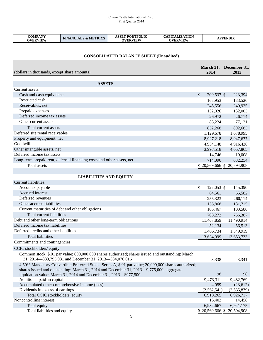$\overline{1}$ 

| <b>COMPANY</b><br><b>OVERVIEW</b> | <b>FINANCIALS &amp; METRICS</b> | <b>ASSET PORTFOLIO</b><br><b>OVERVIEW</b> | <b>CAPITALIZATION</b><br><b>OVERVIEW</b> | APPENDIX |
|-----------------------------------|---------------------------------|-------------------------------------------|------------------------------------------|----------|

# **CONSOLIDATED BALANCE SHEET (Unaudited)**

| (dollars in thousands, except share amounts)                                                          | 2014                        | March 31, December 31,<br>2013 |
|-------------------------------------------------------------------------------------------------------|-----------------------------|--------------------------------|
|                                                                                                       |                             |                                |
| <b>ASSETS</b>                                                                                         |                             |                                |
| Current assets:                                                                                       |                             |                                |
| Cash and cash equivalents                                                                             | $\mathcal{S}$<br>200,537 \$ | 223,394                        |
| Restricted cash                                                                                       | 163,953                     | 183,526                        |
| Receivables, net                                                                                      | 245,556                     | 249,925                        |
| Prepaid expenses                                                                                      | 132,026                     | 132,003                        |
| Deferred income tax assets                                                                            | 26,972                      | 26,714                         |
| Other current assets                                                                                  | 83,224                      | 77,121                         |
| Total current assets                                                                                  | 852,268                     | 892,683                        |
| Deferred site rental receivables                                                                      | 1,129,678                   | 1,078,995                      |
| Property and equipment, net                                                                           | 8,927,218                   | 8,947,677                      |
| Goodwill                                                                                              | 4,934,148                   | 4,916,426                      |
| Other intangible assets, net                                                                          | 3,997,518                   | 4,057,865                      |
| Deferred income tax assets                                                                            | 14,746                      | 19,008                         |
| Long-term prepaid rent, deferred financing costs and other assets, net                                | 714,090                     | 682,254                        |
| Total assets                                                                                          |                             | \$20,569,666 \$20,594,908      |
|                                                                                                       |                             |                                |
| <b>LIABILITIES AND EQUITY</b>                                                                         |                             |                                |
| Current liabilities:                                                                                  |                             |                                |
|                                                                                                       |                             |                                |
| Accounts payable                                                                                      | \$<br>127,053 \$            | 145,390                        |
| Accrued interest                                                                                      | 64,561                      | 65,582                         |
| Deferred revenues                                                                                     | 255,323                     | 260,114                        |
| Other accrued liabilities                                                                             | 155,868                     | 181,715                        |
| Current maturities of debt and other obligations                                                      | 105,467                     | 103,586                        |
| Total current liabilities                                                                             | 708,272                     | 756,387                        |
| Debt and other long-term obligations                                                                  | 11,467,859                  | 11,490,914                     |
| Deferred income tax liabilities                                                                       | 52,134                      | 56,513                         |
| Deferred credits and other liabilities                                                                | 1,406,734                   | 1,349,919                      |
| Total liabilities                                                                                     | 13,634,999                  | 13,653,733                     |
| Commitments and contingencies                                                                         |                             |                                |
| CCIC stockholders' equity:                                                                            |                             |                                |
| Common stock, \$.01 par value; 600,000,000 shares authorized; shares issued and outstanding: March    |                             |                                |
| 31, 2014—333, 795, 981 and December 31, 2013—334, 070, 016                                            | 3,338                       | 3,341                          |
| 4.50% Mandatory Convertible Preferred Stock, Series A, \$.01 par value; 20,000,000 shares authorized; |                             |                                |
| shares issued and outstanding: March 31, 2014 and December 31, 2013—9,775,000; aggregate              |                             |                                |
| liquidation value: March 31, 2014 and December 31, 2013-\$977,500                                     | 98                          | 98                             |
| Additional paid-in capital                                                                            | 9,473,311                   | 9,482,769                      |
| Accumulated other comprehensive income (loss)                                                         | 4,059                       | (23, 612)                      |
| Dividends in excess of earnings                                                                       | (2,562,541)                 | (2,535,879)                    |
| Total CCIC stockholders' equity                                                                       | 6,918,265                   | 6,926,717                      |
| Noncontrolling interest                                                                               | 16,402                      | 14,458                         |
| Total equity                                                                                          | 6,934,667                   | 6,941,175                      |
| Total liabilities and equity                                                                          | \$20,569,666                | 20,594,908                     |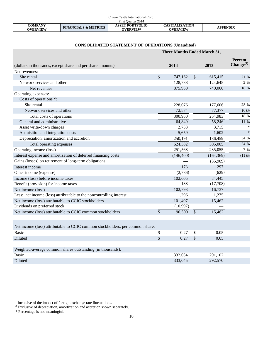| Crown Castle International Corp. |                                 |                                           |                                          |                 |  |
|----------------------------------|---------------------------------|-------------------------------------------|------------------------------------------|-----------------|--|
| First Ouarter 2014               |                                 |                                           |                                          |                 |  |
| COMPANY<br>OVERVIEW              | <b>FINANCIALS &amp; METRICS</b> | <b>ASSET PORTFOLIO</b><br><b>OVERVIEW</b> | <b>CAPITALIZATION</b><br><b>OVERVIEW</b> | <b>APPENDIX</b> |  |

|                                                                               | <b>Three Months Ended March 31,</b> |               |            |                                  |
|-------------------------------------------------------------------------------|-------------------------------------|---------------|------------|----------------------------------|
| (dollars in thousands, except share and per share amounts)                    | 2014                                |               | 2013       | Percent<br>Change <sup>(1)</sup> |
| Net revenues:                                                                 |                                     |               |            |                                  |
| Site rental                                                                   | \$<br>747,162                       | $\mathcal{S}$ | 615,415    | 21 %                             |
| Network services and other                                                    | 128,788                             |               | 124,645    | 3 %                              |
| Net revenues                                                                  | 875,950                             |               | 740,060    | 18 %                             |
| Operating expenses:                                                           |                                     |               |            |                                  |
| Costs of operations <sup>(2)</sup> :                                          |                                     |               |            |                                  |
| Site rental                                                                   | 228,076                             |               | 177,606    | 28 %                             |
| Network services and other                                                    | 72,874                              |               | 77,377     | $(6)$ %                          |
| Total costs of operations                                                     | 300,950                             |               | 254,983    | 18 %                             |
| General and administrative                                                    | 64,849                              |               | 58,246     | 11 %                             |
| Asset write-down charges                                                      | 2,733                               |               | 3,715      |                                  |
| Acquisition and integration costs                                             | 5,659                               |               | 1,602      | $\ast$                           |
| Depreciation, amortization and accretion                                      | 250,191                             |               | 186,459    | 34 %                             |
| Total operating expenses                                                      | 624,382                             |               | 505,005    | 24 %                             |
| Operating income (loss)                                                       | 251,568                             |               | 235,055    | 7%                               |
| Interest expense and amortization of deferred financing costs                 | (146, 400)                          |               | (164, 369) | (11)%                            |
| Gains (losses) on retirement of long-term obligations                         |                                     |               | (35,909)   |                                  |
| Interest income                                                               | 173                                 |               | 297        |                                  |
| Other income (expense)                                                        | (2,736)                             |               | (629)      |                                  |
| Income (loss) before income taxes                                             | 102,605                             |               | 34,445     |                                  |
| Benefit (provision) for income taxes                                          | 188                                 |               | (17,708)   |                                  |
| Net income (loss)                                                             | 102,793                             |               | 16,737     |                                  |
| Less: net income (loss) attributable to the noncontrolling interest           | 1,296                               |               | 1,275      |                                  |
| Net income (loss) attributable to CCIC stockholders                           | 101,497                             |               | 15,462     |                                  |
| Dividends on preferred stock                                                  | (10, 997)                           |               |            |                                  |
| Net income (loss) attributable to CCIC common stockholders                    | \$<br>90,500                        | \$            | 15,462     |                                  |
| Net income (loss) attributable to CCIC common stockholders, per common share: |                                     |               |            |                                  |
| <b>Basic</b>                                                                  | \$<br>0.27                          | \$            | 0.05       |                                  |
| Diluted                                                                       | \$<br>0.27                          | \$            | 0.05       |                                  |
| Weighted-average common shares outstanding (in thousands):                    |                                     |               |            |                                  |
| <b>Basic</b>                                                                  | 332,034                             |               | 291,102    |                                  |
| Diluted                                                                       | 333,045                             |               | 292,570    |                                  |

# **CONSOLIDATED STATEMENT OF OPERATIONS (Unaudited)**

<span id="page-10-0"></span>

<span id="page-10-1"></span><sup>&</sup>lt;sup>1</sup> Inclusive of the impact of foreign exchange rate fluctuations.<br><sup>2</sup> Exclusive of depreciation, amortization and accretion shown separately.

<sup>\*</sup> Percentage is not meaningful.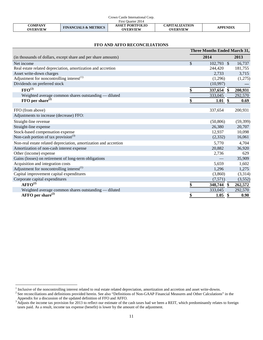| Crown Castle International Corp. |                                 |                                           |                                          |          |
|----------------------------------|---------------------------------|-------------------------------------------|------------------------------------------|----------|
| First Ouarter 2014               |                                 |                                           |                                          |          |
| COMPANY<br><b>OVERVIEW</b>       | <b>FINANCIALS &amp; METRICS</b> | <b>ASSET PORTFOLIO</b><br><b>OVERVIEW</b> | <b>CAPITALIZATION</b><br><b>OVERVIEW</b> | APPENDIX |

## **FFO AND AFFO RECONCILIATIONS**

|                                                                  | Three Months Ended March 31, |           |
|------------------------------------------------------------------|------------------------------|-----------|
| (in thousands of dollars, except share and per share amounts)    | 2014                         | 2013      |
| Net income                                                       | \$<br>102,793 \$             | 16,737    |
| Real estate related depreciation, amortization and accretion     | 244,420                      | 181,755   |
| Asset write-down charges                                         | 2,733                        | 3,715     |
| Adjustment for noncontrolling interest $^{(1)}$                  | (1,296)                      | (1,275)   |
| Dividends on preferred stock                                     | (10,997)                     |           |
| $\text{FFO}^{(2)}$                                               | \$<br>337,654 \$             | 200,931   |
| Weighted average common shares outstanding — diluted             | 333,045                      | 292,570   |
| $FFO$ per share <sup>(2)</sup>                                   | 1.01<br>\$                   | 0.69      |
|                                                                  |                              |           |
| FFO (from above)                                                 | 337,654                      | 200,931   |
| Adjustments to increase (decrease) FFO:                          |                              |           |
| Straight-line revenue                                            | (50, 806)                    | (59, 399) |
| Straight-line expense                                            | 26,380                       | 20,707    |
| Stock-based compensation expense                                 | 12,937                       | 10,098    |
| Non-cash portion of tax provision <sup>(3)</sup>                 | (2,332)                      | 16,061    |
| Non-real estate related depreciation, amortization and accretion | 5,770                        | 4,704     |
| Amortization of non-cash interest expense                        | 20,882                       | 36,920    |
| Other (income) expense                                           | 2,736                        | 629       |
| Gains (losses) on retirement of long-term obligations            |                              | 35,909    |
| Acquisition and integration costs                                | 5,659                        | 1,602     |
| Adjustment for noncontrolling interest <sup>(1)</sup>            | 1,296                        | 1,275     |
| Capital improvement capital expenditures                         | (3,860)                      | (3,314)   |
| Corporate capital expenditures                                   | (7,571)                      | (3,552)   |
| AFFO <sup>(2)</sup>                                              | \$<br>348,744 \$             | 262,572   |
| Weighted average common shares outstanding - diluted             | 333,045                      | 292,570   |
| AFFO per share $^{(2)}$                                          | \$<br>$1.05 \text{ }$ \$     | 0.90      |

<sup>&</sup>lt;sup>1</sup> Inclusive of the noncontrolling interest related to real estate related depreciation, amortization and accretion and asset write-downs.<br><sup>2</sup> See reconciliations and definitions provided herein. See also "Definitions of

<span id="page-11-1"></span>Appendix for a discussion of the updated definition of FFO and AFFO.<br><sup>3</sup> Adjusts the income tax provision for 2013 to reflect our estimate of the cash taxes had we been a REIT, which predominantly relates to foreign

<span id="page-11-0"></span>taxes paid. As a result, income tax expense (benefit) is lower by the amount of the adjustment.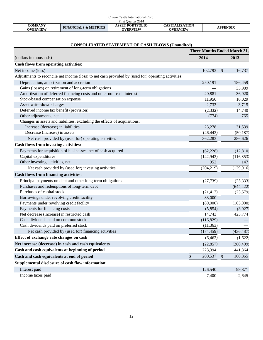| Crown Castle International Corp.  |                                 |                                           |                                          |                 |
|-----------------------------------|---------------------------------|-------------------------------------------|------------------------------------------|-----------------|
| First Ouarter 2014                |                                 |                                           |                                          |                 |
| <b>COMPANY</b><br><b>OVERVIEW</b> | <b>FINANCIALS &amp; METRICS</b> | <b>ASSET PORTFOLIO</b><br><b>OVERVIEW</b> | <b>CAPITALIZATION</b><br><b>OVERVIEW</b> | <b>APPENDIX</b> |

# **CONSOLIDATED STATEMENT OF CASH FLOWS (Unaudited)**

|                                                                                                     | <b>Three Months Ended March 31,</b> |               |            |
|-----------------------------------------------------------------------------------------------------|-------------------------------------|---------------|------------|
| (dollars in thousands)                                                                              | 2014                                |               | 2013       |
| Cash flows from operating activities:                                                               |                                     |               |            |
| Net income (loss)                                                                                   | 102,793                             | $\frac{1}{2}$ | 16,737     |
| Adjustments to reconcile net income (loss) to net cash provided by (used for) operating activities: |                                     |               |            |
| Depreciation, amortization and accretion                                                            | 250,191                             |               | 186,459    |
| Gains (losses) on retirement of long-term obligations                                               |                                     |               | 35,909     |
| Amortization of deferred financing costs and other non-cash interest                                | 20,881                              |               | 36,920     |
| Stock-based compensation expense                                                                    | 11,956                              |               | 10,029     |
| Asset write-down charges                                                                            | 2,733                               |               | 3,715      |
| Deferred income tax benefit (provision)                                                             | (2, 332)                            |               | 14,740     |
| Other adjustments, net                                                                              | (774)                               |               | 765        |
| Changes in assets and liabilities, excluding the effects of acquisitions:                           |                                     |               |            |
| Increase (decrease) in liabilities                                                                  | 23,278                              |               | 31,539     |
| Decrease (increase) in assets                                                                       | (46, 443)                           |               | (50, 187)  |
| Net cash provided by (used for) operating activities                                                | 362,283                             |               | 286,626    |
| <b>Cash flows from investing activities:</b>                                                        |                                     |               |            |
| Payments for acquisition of businesses, net of cash acquired                                        | (62, 228)                           |               | (12, 810)  |
| Capital expenditures                                                                                | (142, 943)                          |               | (116, 353) |
| Other investing activities, net                                                                     | 952                                 |               | 147        |
| Net cash provided by (used for) investing activities                                                | (204, 219)                          |               | (129,016)  |
| <b>Cash flows from financing activities:</b>                                                        |                                     |               |            |
| Principal payments on debt and other long-term obligations                                          | (27, 739)                           |               | (25, 333)  |
| Purchases and redemptions of long-term debt                                                         |                                     |               | (644, 422) |
| Purchases of capital stock                                                                          | (21, 417)                           |               | (23, 579)  |
| Borrowings under revolving credit facility                                                          | 83,000                              |               |            |
| Payments under revolving credit facility                                                            | (89,000)                            |               | (165,000)  |
| Payments for financing costs                                                                        | (5,854)                             |               | (3,927)    |
| Net decrease (increase) in restricted cash                                                          | 14,743                              |               | 425,774    |
| Cash dividends paid on common stock                                                                 | (116, 829)                          |               |            |
| Cash dividends paid on preferred stock                                                              | (11, 363)                           |               |            |
| Net cash provided by (used for) financing activities                                                | (174, 459)                          |               | (436, 487) |
| Effect of exchange rate changes on cash                                                             | (6, 462)                            |               | (1,622)    |
| Net increase (decrease) in cash and cash equivalents                                                | (22, 857)                           |               | (280, 499) |
| Cash and cash equivalents at beginning of period                                                    | 223,394                             |               | 441,364    |
| Cash and cash equivalents at end of period                                                          | 200,537<br>\$                       | \$            | 160,865    |
| Supplemental disclosure of cash flow information:                                                   |                                     |               |            |
| Interest paid                                                                                       | 126,540                             |               | 99,871     |
| Income taxes paid                                                                                   | 7,400                               |               | 2,645      |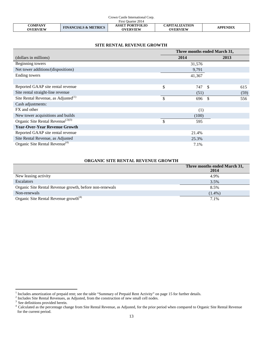| Crown Castle International Corp. |                                 |                                           |                                          |                 |
|----------------------------------|---------------------------------|-------------------------------------------|------------------------------------------|-----------------|
| First Ouarter 2014               |                                 |                                           |                                          |                 |
| COMPANY<br>OVERVIEW              | <b>FINANCIALS &amp; METRICS</b> | <b>ASSET PORTFOLIO</b><br><b>OVERVIEW</b> | <b>CAPITALIZATION</b><br><b>OVERVIEW</b> | <b>APPENDIX</b> |

## **SITE RENTAL REVENUE GROWTH**

|                                                 | Three months ended March 31, |               |      |
|-------------------------------------------------|------------------------------|---------------|------|
| (dollars in millions)                           | 2014                         |               | 2013 |
| Beginning towers                                | 31,576                       |               |      |
| Net tower additions/(dispositions)              | 9,791                        |               |      |
| Ending towers                                   | 41,367                       |               |      |
|                                                 |                              |               |      |
| Reported GAAP site rental revenue               | \$<br>747                    | <sup>\$</sup> | 615  |
| Site rental straight-line revenue               | (51)                         |               | (59) |
| Site Rental Revenue, as Adjusted <sup>(1)</sup> | \$<br>696                    | <sup>\$</sup> | 556  |
| Cash adjustments:                               |                              |               |      |
| FX and other                                    | (1)                          |               |      |
| New tower acquisitions and builds               | (100)                        |               |      |
| Organic Site Rental Revenue <sup>(2)(3)</sup>   | \$<br>595                    |               |      |
| <b>Year-Over-Year Revenue Growth</b>            |                              |               |      |
| Reported GAAP site rental revenue               | 21.4%                        |               |      |
| Site Rental Revenue, as Adjusted                | 25.3%                        |               |      |
| Organic Site Rental Revenue <sup>(4)</sup>      | 7.1%                         |               |      |

### **ORGANIC SITE RENTAL REVENUE GROWTH**

|                                                         | Three months ended March 31,<br>2014 |
|---------------------------------------------------------|--------------------------------------|
| New leasing activity                                    | 4.9%                                 |
| <b>Escalators</b>                                       | 3.5%                                 |
| Organic Site Rental Revenue growth, before non-renewals | 8.5%                                 |
| Non-renewals                                            | $(1.4\%)$                            |
| Organic Site Rental Revenue growth <sup>(4)</sup>       | 7.1%                                 |

<span id="page-13-1"></span><span id="page-13-0"></span><sup>&</sup>lt;sup>1</sup> Includes amortization of prepaid rent; see the table "Summary of Prepaid Rent Activity" on page 15 for further details.<br><sup>2</sup> Includes Site Rental Revenues, as Adjusted, from the construction of new small cell nodes.<br><sup>3</sup>

<sup>&</sup>lt;sup>4</sup> Calculated as the percentage change from Site Rental Revenue, as Adjusted, for the prior period when compared to Organic Site Rental Revenue for the current period.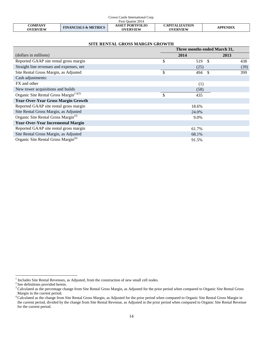| Crown Castle International Corp.  |                                 |                                           |                                          |                 |
|-----------------------------------|---------------------------------|-------------------------------------------|------------------------------------------|-----------------|
| First Ouarter 2014                |                                 |                                           |                                          |                 |
| <b>COMPANY</b><br><b>OVERVIEW</b> | <b>FINANCIALS &amp; METRICS</b> | <b>ASSET PORTFOLIO</b><br><b>OVERVIEW</b> | <b>CAPITALIZATION</b><br><b>OVERVIEW</b> | <b>APPENDIX</b> |

# **SITE RENTAL GROSS MARGIN GROWTH**

|                                                 | Three months ended March 31, |                     |      |  |
|-------------------------------------------------|------------------------------|---------------------|------|--|
| (dollars in millions)                           |                              | 2014                | 2013 |  |
| Reported GAAP site rental gross margin          | \$                           | -\$<br>519          | 438  |  |
| Straight line revenues and expenses, net        |                              | (25)                | (39) |  |
| Site Rental Gross Margin, as Adjusted           | \$                           | $\mathbb{S}$<br>494 | 399  |  |
| Cash adjustments:                               |                              |                     |      |  |
| FX and other                                    |                              | (1)                 |      |  |
| New tower acquisitions and builds               |                              | (58)                |      |  |
| Organic Site Rental Gross Margin $(1)(2)$       | $\mathcal{S}$                | 435                 |      |  |
| <b>Year-Over-Year Gross Margin Growth</b>       |                              |                     |      |  |
| Reported GAAP site rental gross margin          |                              | 18.6%               |      |  |
| Site Rental Gross Margin, as Adjusted           |                              | 24.0%               |      |  |
| Organic Site Rental Gross Margin <sup>(3)</sup> |                              | 9.0%                |      |  |
| <b>Year-Over-Year Incremental Margin</b>        |                              |                     |      |  |
| Reported GAAP site rental gross margin          |                              | 61.7%               |      |  |
| Site Rental Gross Margin, as Adjusted           |                              | 68.1%               |      |  |
| Organic Site Rental Gross Margin <sup>(4)</sup> |                              | 91.5%               |      |  |

<sup>&</sup>lt;sup>1</sup> Includes Site Rental Revenues, as Adjusted, from the construction of new small cell nodes.<br><sup>2</sup> See definitions provided herein.

<sup>&</sup>lt;sup>2</sup> See definitions provided herein.<br><sup>3</sup> Calculated as the percentage change from Site Rental Gross Margin, as Adjusted for the prior period when compared to Organic Site Rental Gross Margin in the current period.

<span id="page-14-0"></span><sup>&</sup>lt;sup>4</sup> Calculated as the change from Site Rental Gross Margin, as Adjusted for the prior period when compared to Organic Site Rental Gross Margin in the current period, divided by the change from Site Rental Revenue, as Adjusted in the prior period when compared to Organic Site Rental Revenue for the current period.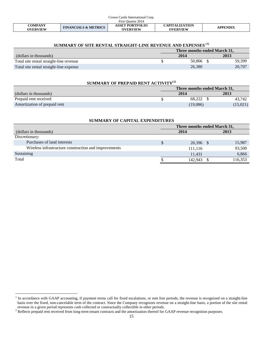| Crown Castle International Corp. |                                 |                                           |                                          |                 |
|----------------------------------|---------------------------------|-------------------------------------------|------------------------------------------|-----------------|
| First Quarter 2014               |                                 |                                           |                                          |                 |
| <b>COMPANY</b><br>OVERVIEW       | <b>FINANCIALS &amp; METRICS</b> | <b>ASSET PORTFOLIO</b><br><b>OVERVIEW</b> | <b>CAPITALIZATION</b><br><b>OVERVIEW</b> | <b>APPENDIX</b> |

# **SUMMARY OF SITE RENTAL STRAIGHT-LINE REVENUE AND EXPENSES ([1\)](#page-14-0)**

|                                         | Three months ended March 31. |        |  |        |
|-----------------------------------------|------------------------------|--------|--|--------|
| (dollars in thousands)                  | 2014                         |        |  | 2013   |
| Total site rental straight-line revenue |                              | 50.806 |  | 59,399 |
| Total site rental straight-line expense |                              | 26.380 |  | 20,707 |

| SUMMARY OF PREPAID RENT ACTIVITY <sup>(2)</sup> |  |          |          |  |  |
|-------------------------------------------------|--|----------|----------|--|--|
| Three months ended March 31,                    |  |          |          |  |  |
| (dollars in thousands)                          |  | 2014     | 2013     |  |  |
| Prepaid rent received                           |  | 68.222   | 43.742   |  |  |
| Amortization of prepaid rent                    |  | (19,086) | (15,021) |  |  |

| SUMMANT OF CAFITAL EXPENDITURES                       |                              |         |  |         |  |  |  |  |  |  |  |
|-------------------------------------------------------|------------------------------|---------|--|---------|--|--|--|--|--|--|--|
|                                                       | Three months ended March 31, |         |  |         |  |  |  |  |  |  |  |
| (dollars in thousands)                                | 2014<br>2013                 |         |  |         |  |  |  |  |  |  |  |
| Discretionary:                                        |                              |         |  |         |  |  |  |  |  |  |  |
| Purchases of land interests                           |                              | 20,396  |  | 15,987  |  |  |  |  |  |  |  |
| Wireless infrastructure construction and improvements |                              | 111,116 |  | 93,500  |  |  |  |  |  |  |  |
| Sustaining                                            |                              | 11,431  |  | 6,866   |  |  |  |  |  |  |  |
| Total                                                 |                              | 142,943 |  | 116,353 |  |  |  |  |  |  |  |
|                                                       |                              |         |  |         |  |  |  |  |  |  |  |

**SUMMARY OF CAPITAL EXPENDITURES**

<span id="page-15-1"></span> $1$  In accordance with GAAP accounting, if payment terms call for fixed escalations, or rent free periods, the revenue is recognized on a straight-line basis over the fixed, non-cancelable term of the contract. Since the Company recognizes revenue on a straight-line basis, a portion of the site rental revenue in a given period represents cash collected or contractually collectible in other periods.

<span id="page-15-0"></span><sup>&</sup>lt;sup>2</sup> Reflects prepaid rent received from long-term tenant contracts and the amortization thereof for GAAP revenue recognition purposes.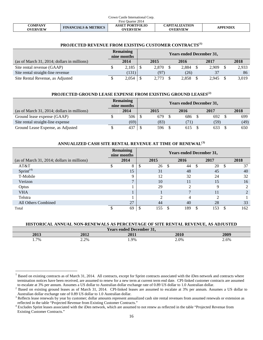| Crown Castle International Corp. |                                 |                                           |                                          |                 |  |  |  |  |  |
|----------------------------------|---------------------------------|-------------------------------------------|------------------------------------------|-----------------|--|--|--|--|--|
| First Ouarter 2014               |                                 |                                           |                                          |                 |  |  |  |  |  |
| <b>COMPANY</b><br>OVERVIEW       | <b>FINANCIALS &amp; METRICS</b> | <b>ASSET PORTFOLIO</b><br><b>OVERVIEW</b> | <b>CAPITALIZATION</b><br><b>OVERVIEW</b> | <b>APPENDIX</b> |  |  |  |  |  |

# **PROJECTED REVENUE FROM EXISTING CUSTOMER CONTRACTS([1\)](#page-15-1)**

|                                             | <b>Remaining</b><br>nine months | <b>Years ended December 31,</b> |       |  |       |  |       |  |       |
|---------------------------------------------|---------------------------------|---------------------------------|-------|--|-------|--|-------|--|-------|
| (as of March 31, 2014; dollars in millions) | 2014                            |                                 | 2015  |  | 2016  |  | 2017  |  | 2018  |
| Site rental revenue (GAAP)                  | 2,185                           |                                 | 2.870 |  | 2.884 |  | 2.909 |  | 2,933 |
| Site rental straight-line revenue           | (131)                           |                                 | (97)  |  | (26)  |  | 37    |  | 86    |
| Site Rental Revenue, as Adjusted            | 2,054                           |                                 | 2,773 |  | 2.858 |  | 2.945 |  | 3,019 |

# **PROJECTED GROUND LEASE EXPENSE FROM EXISTING GROUND LEASES([2\)](#page-16-0)**

|                                             | Remaining<br>nine months |  |      |      |        |  |      |
|---------------------------------------------|--------------------------|--|------|------|--------|--|------|
| (as of March 31, 2014; dollars in millions) | 2014                     |  | 2015 | 2016 | 2017   |  | 2018 |
| Ground lease expense (GAAP)                 | 506                      |  | 679  | 686  | 692 \$ |  | 699  |
| Site rental straight-line expense           | (69)                     |  | (83) | 71)  | (59)   |  | (49) |
| Ground Lease Expense, as Adjusted           | 437                      |  | 596  | 615  | 633    |  | 650  |

# **ANNUALIZED CASH SITE RENTAL REVENUE AT TIME OF RENEWAL([3](#page-16-1))**

|                                             | <b>Remaining</b><br>nine months | <b>Years ended December 31,</b> |      |   |      |    |      |     |                             |
|---------------------------------------------|---------------------------------|---------------------------------|------|---|------|----|------|-----|-----------------------------|
| (as of March 31, 2014; dollars in millions) | 2014                            |                                 | 2015 |   | 2016 |    | 2017 |     | 2018                        |
| AT&T                                        | 8                               |                                 | 26   | S | 44   | -S | 20   | \$. | 37                          |
| $Sprint^{(4)}$                              | 15                              |                                 | 31   |   | 48   |    | 45   |     | 40                          |
| T-Mobile                                    |                                 |                                 | 12   |   | 32   |    | 24   |     | 32                          |
| Verizon                                     |                                 |                                 | 10   |   | 11   |    | 15   |     | 16                          |
| Optus                                       |                                 |                                 | 29   |   | ◠    |    | 9    |     | 2                           |
| <b>VHA</b>                                  |                                 |                                 |      |   |      |    | 11   |     | $\mathcal{D}_{\mathcal{L}}$ |
| Telstra                                     |                                 |                                 | ∍    |   |      |    | ∍    |     |                             |
| All Others Combined                         | 27                              |                                 | 44   |   | 40   |    | 28   |     | 33                          |
| Total                                       | 69                              |                                 | 155  |   | 189  | \$ | 153  |     | 162                         |

## **HISTORICAL ANNUAL NON-RENEWALS AS PERCENTAGE OF SITE RENTAL REVENUE, AS ADJUSTED**

| <b>Years ended December 31,</b> |      |      |      |      |  |  |  |  |  |
|---------------------------------|------|------|------|------|--|--|--|--|--|
| 2013                            | 2012 | 2011 | 2010 | 2009 |  |  |  |  |  |
| $1.7\%$                         | 2.2% | 1.9% | 2.0% | 2.6% |  |  |  |  |  |

Based on existing contracts as of March 31, 2014. All contracts, except for Sprint contracts associated with the iDen network and contracts where termination notices have been received, are assumed to renew for a new term at current term end date. CPI-linked customer contracts are assumed to escalate at 3% per annum. Assumes a US dollar to Australian dollar exchange

<span id="page-16-0"></span> $^2$  Based on existing ground leases as of March 31, 2014. CPI-linked leases are assumed to escalate at 3% per annum. Assumes a US dollar to Australian dollar exchange rate of 0.89 US dollar to 1.0 Australian dollar.

<span id="page-16-1"></span>Australian dollar exchange rates of 0.89 US domination of 0.89 US does not all revenues from assumed renewals or extension as reflected in the table "Projected Revenue from Existing Customer Contracts."

<span id="page-16-2"></span><sup>&</sup>lt;sup>4</sup> Excludes Sprint leases associated with the iDen network, which are assumed to not renew as reflected in the table "Projected Revenue from Existing Customer Contracts."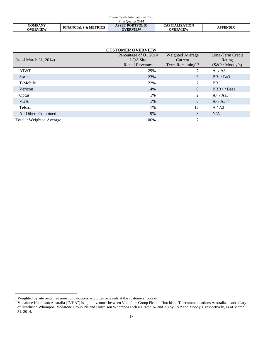| Crown Castle International Corp. |                                 |                                           |                                          |                 |  |  |  |  |  |
|----------------------------------|---------------------------------|-------------------------------------------|------------------------------------------|-----------------|--|--|--|--|--|
| First Ouarter 2014               |                                 |                                           |                                          |                 |  |  |  |  |  |
| <b>COMPANY</b><br>OVERVIEW       | <b>FINANCIALS &amp; METRICS</b> | <b>ASSET PORTFOLIO</b><br><b>OVERVIEW</b> | <b>CAPITALIZATION</b><br><b>OVERVIEW</b> | <b>APPENDIX</b> |  |  |  |  |  |

| <b>CUSTOMER OVERVIEW</b> |                                   |                               |                            |  |  |  |  |  |  |  |  |  |
|--------------------------|-----------------------------------|-------------------------------|----------------------------|--|--|--|--|--|--|--|--|--|
| (as of March 31, 2014)   | Percentage of Q1 2014<br>LQA Site | Weighted Average<br>Current   | Long-Term Credit<br>Rating |  |  |  |  |  |  |  |  |  |
|                          | <b>Rental Revenues</b>            | Term Remaining <sup>(1)</sup> | $(S\&P/Moody's)$           |  |  |  |  |  |  |  |  |  |
| AT&T                     | 29%                               |                               | $A - / A3$                 |  |  |  |  |  |  |  |  |  |
| Sprint                   | 23%                               | 6                             | $BB - / Ba3$               |  |  |  |  |  |  |  |  |  |
| T-Mobile                 | 22%                               | 7                             | <b>BB</b>                  |  |  |  |  |  |  |  |  |  |
| Verizon                  | 14%                               | 8                             | $BBB+$ / Baa1              |  |  |  |  |  |  |  |  |  |
| Optus                    | 1%                                | 2                             | $A+ / Aa3$                 |  |  |  |  |  |  |  |  |  |
| <b>VHA</b>               | 1%                                | 6                             | $A - / A3^{(2)}$           |  |  |  |  |  |  |  |  |  |
| Telstra                  | 1%                                | 12                            | A/ A2                      |  |  |  |  |  |  |  |  |  |
| All Others Combined      | 9%                                | 8                             | N/A                        |  |  |  |  |  |  |  |  |  |
| Total / Weighted Average | 100%                              | 7                             |                            |  |  |  |  |  |  |  |  |  |

 $1$  Weighted by site rental revenue contributions; excludes renewals at the customers' option.

<span id="page-17-1"></span><span id="page-17-0"></span><sup>&</sup>lt;sup>2</sup> Vodafone Hutchison Australia ("VHA") is a joint venture between Vodafone Group Plc and Hutchison Telecommunications Australia, a subsidiary of Hutchison Whompoa; Vodafone Group Plc and Hutchison Whompoa each are rated A- and A3 by S&P and Moody's, respectively, as of March 31, 2014.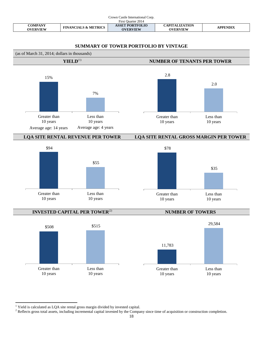| Crown Castle International Corp. |                                 |                                           |                                          |                 |  |  |  |  |  |  |
|----------------------------------|---------------------------------|-------------------------------------------|------------------------------------------|-----------------|--|--|--|--|--|--|
| First Ouarter 2014               |                                 |                                           |                                          |                 |  |  |  |  |  |  |
| COMPANY<br><b>OVERVIEW</b>       | <b>FINANCIALS &amp; METRICS</b> | <b>ASSET PORTFOLIO</b><br><b>OVERVIEW</b> | <b>CAPITALIZATION</b><br><b>OVERVIEW</b> | <b>APPENDIX</b> |  |  |  |  |  |  |

# <span id="page-18-0"></span>**SUMMARY OF TOWER PORTFOLIO BY VINTAGE**



 $^1$  Yield is calculated as LQA site rental gross margin divided by invested capital.

 $2$  Reflects gross total assets, including incremental capital invested by the Company since time of acquisition or construction completion.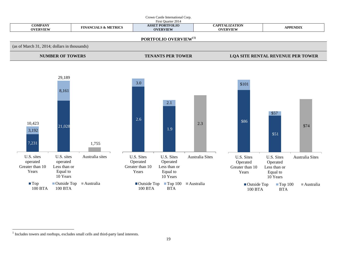

<span id="page-19-0"></span><sup>&</sup>lt;sup>1</sup> Includes towers and rooftops, excludes small cells and third-party land interests.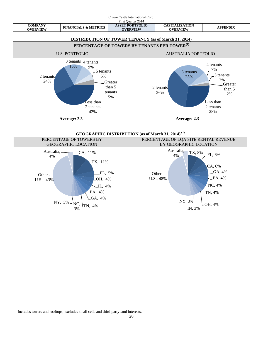

**GEOGRAPHIC DISTRIBUTION (as of March 31, 2014) ([1](#page-19-0))**



<span id="page-20-0"></span><sup>&</sup>lt;sup>1</sup> Includes towers and rooftops, excludes small cells and third-party land interests.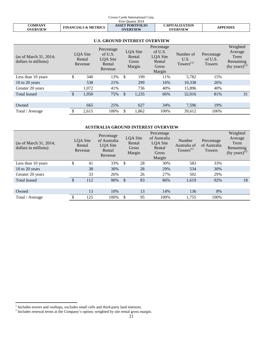| Crown Castle International Corp.  |                                 |                                           |                                          |                 |  |  |  |  |  |
|-----------------------------------|---------------------------------|-------------------------------------------|------------------------------------------|-----------------|--|--|--|--|--|
| First Ouarter 2014                |                                 |                                           |                                          |                 |  |  |  |  |  |
| <b>COMPANY</b><br><b>OVERVIEW</b> | <b>FINANCIALS &amp; METRICS</b> | <b>ASSET PORTFOLIO</b><br><b>OVERVIEW</b> | <b>CAPITALIZATION</b><br><b>OVERVIEW</b> | <b>APPENDIX</b> |  |  |  |  |  |

# **U.S. GROUND INTEREST OVERVIEW**

| (as of March 31, 2014;<br>dollars in millions) |               | LQA Site<br>Rental<br>Revenue | Percentage<br>of U.S.<br>LQA Site<br>Rental<br>Revenue |               | LQA Site<br>Rental<br>Gross<br>Margin | Percentage<br>of U.S.<br>LQA Site<br>Rental<br>Gross<br>Margin | Number of<br>U.S.<br>Towers $^{(1)}$ | Percentage<br>of U.S.<br>Towers | Weighted<br>Average<br>Term<br>Remaining<br>(by years) <sup>(2)</sup> |
|------------------------------------------------|---------------|-------------------------------|--------------------------------------------------------|---------------|---------------------------------------|----------------------------------------------------------------|--------------------------------------|---------------------------------|-----------------------------------------------------------------------|
| Less than 10 years                             | \$            | 340                           | 13%                                                    | \$            | 199                                   | 11%                                                            | 5,782                                | 15%                             |                                                                       |
| 10 to 20 years                                 |               | 538                           | 21%                                                    |               | 299                                   | 16%                                                            | 10,338                               | 26%                             |                                                                       |
| Greater 20 years                               |               | 1,072                         | 41%                                                    |               | 736                                   | 40%                                                            | 15,896                               | 40%                             |                                                                       |
| <b>Total leased</b>                            | $\mathcal{S}$ | 1,950                         | 75%                                                    | $\mathcal{S}$ | 1,235                                 | 66%                                                            | 32,016                               | 81%                             | 31                                                                    |
|                                                |               |                               |                                                        |               |                                       |                                                                |                                      |                                 |                                                                       |
| Owned                                          |               | 665                           | 25%                                                    |               | 627                                   | 34%                                                            | 7,596                                | 19%                             |                                                                       |
| Total / Average                                | \$            | 2,615                         | 100%                                                   | \$            | 1,862                                 | 100%                                                           | 39,612                               | 100%                            |                                                                       |

#### **AUSTRALIA GROUND INTEREST OVERVIEW**

| (as of March 31, 2014;<br>dollars in millions) |     | LOA Site<br>Rental<br>Revenue | Percentage<br>of Australia<br>LQA Site<br>Rental<br>Revenue | LQA Site<br>Rental<br>Gross<br>Margin | Percentage<br>of Australia<br>LQA Site<br>Rental<br>Gross<br>Margin | Number<br>Australia of<br>Towers $^{(1)}$ | Percentage<br>of Australia<br>Towers | Weighted<br>Average<br>Term<br>Remaining<br>(by years) <sup>(2)</sup> |
|------------------------------------------------|-----|-------------------------------|-------------------------------------------------------------|---------------------------------------|---------------------------------------------------------------------|-------------------------------------------|--------------------------------------|-----------------------------------------------------------------------|
| Less than 10 years                             | \$  | 41                            | 33%                                                         | \$<br>28                              | 30%                                                                 | 583                                       | 33%                                  |                                                                       |
| $10$ to $20$ years                             |     | 38                            | 30%                                                         | 28                                    | 29%                                                                 | 534                                       | 30%                                  |                                                                       |
| Greater 20 years                               |     | 33                            | 26%                                                         | 26                                    | 27%                                                                 | 502                                       | 29%                                  |                                                                       |
| <b>Total leased</b>                            | \$  | 112                           | 90%                                                         | \$<br>83                              | 86%                                                                 | 1,619                                     | 92%                                  | 18                                                                    |
|                                                |     |                               |                                                             |                                       |                                                                     |                                           |                                      |                                                                       |
| Owned                                          |     | 13                            | 10%                                                         | 13                                    | 14%                                                                 | 136                                       | 8%                                   |                                                                       |
| Total / Average                                | \$. | 125                           | 100%                                                        | \$<br>95                              | 100%                                                                | 1,755                                     | 100%                                 |                                                                       |

<span id="page-21-0"></span>

 $1$  Includes towers and rooftops, excludes small cells and third-party land interests.<br> $2$  Includes renewal terms at the Company's option; weighted by site rental gross margin.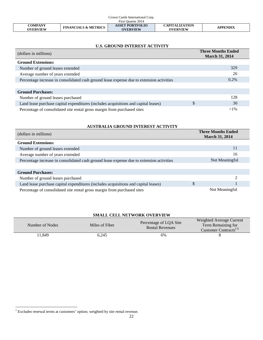| Crown Castle International Corp.  |                                 |                                           |                                          |                 |
|-----------------------------------|---------------------------------|-------------------------------------------|------------------------------------------|-----------------|
| First Ouarter 2014                |                                 |                                           |                                          |                 |
| <b>COMPANY</b><br><b>OVERVIEW</b> | <b>FINANCIALS &amp; METRICS</b> | <b>ASSET PORTFOLIO</b><br><b>OVERVIEW</b> | <b>CAPITALIZATION</b><br><b>OVERVIEW</b> | <b>APPENDIX</b> |

# <span id="page-22-0"></span>**U.S. GROUND INTEREST ACTIVITY**

| (dollars in millions)                                                                     | <b>Three Months Ended</b><br><b>March 31, 2014</b> |
|-------------------------------------------------------------------------------------------|----------------------------------------------------|
| <b>Ground Extensions:</b>                                                                 |                                                    |
| Number of ground leases extended                                                          | 329                                                |
| Average number of years extended                                                          | 26                                                 |
| Percentage increase in consolidated cash ground lease expense due to extension activities | 0.2%                                               |
|                                                                                           |                                                    |
| <b>Ground Purchases:</b>                                                                  |                                                    |
| Number of ground leases purchased                                                         | 128                                                |
| Land lease purchase capital expenditures (includes acquisitions and capital leases)       | \$<br>30                                           |
| Percentage of consolidated site rental gross margin from purchased sites                  | ${<}1\%$                                           |

# **AUSTRALIA GROUND INTEREST ACTIVITY**

| (dollars in millions)                                                                     | <b>Three Months Ended</b><br><b>March 31, 2014</b> |
|-------------------------------------------------------------------------------------------|----------------------------------------------------|
| <b>Ground Extensions:</b>                                                                 |                                                    |
| Number of ground leases extended                                                          | 11                                                 |
| Average number of years extended                                                          | 16                                                 |
| Percentage increase in consolidated cash ground lease expense due to extension activities | Not Meaningful                                     |
|                                                                                           |                                                    |
| <b>Ground Purchases:</b>                                                                  |                                                    |
| Number of ground leases purchased                                                         | $\mathfrak{D}$                                     |
| Land lease purchase capital expenditures (includes acquisitions and capital leases)       | \$                                                 |
| Percentage of consolidated site rental gross margin from purchased sites                  | Not Meaningful                                     |

# **SMALL CELL NETWORK OVERVIEW**

| Number of Nodes | Miles of Fiber | Percentage of LQA Site<br><b>Rental Revenues</b> | <b>Weighted Average Current</b><br>Term Remaining for<br>Customer Contracts <sup>(1)</sup> |
|-----------------|----------------|--------------------------------------------------|--------------------------------------------------------------------------------------------|
| 1.849           | 6,245          | 6%                                               |                                                                                            |

 $1$  Excludes renewal terms at customers' option; weighted by site rental revenue.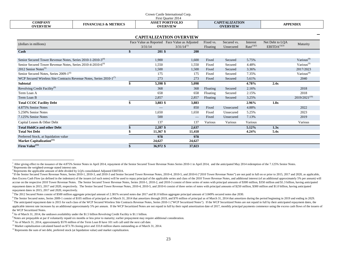<span id="page-23-0"></span>

| Crown Castle International Corp.<br>First Ouarter 2014                          |                                 |    |                                               |                 |           |                                          |                 |                          |                    |
|---------------------------------------------------------------------------------|---------------------------------|----|-----------------------------------------------|-----------------|-----------|------------------------------------------|-----------------|--------------------------|--------------------|
| <b>COMPANY</b><br><b>OVERVIEW</b>                                               | <b>FINANCIALS &amp; METRICS</b> |    | <b>ASSET PORTFOLIO</b><br><b>OVERVIEW</b>     |                 |           | <b>CAPITALIZATION</b><br><b>OVERVIEW</b> |                 |                          | <b>APPENDIX</b>    |
|                                                                                 |                                 |    |                                               |                 |           |                                          |                 |                          |                    |
|                                                                                 |                                 |    | <b>CAPITALIZATION OVERVIEW</b>                |                 |           |                                          |                 |                          |                    |
| (dollars in millions)                                                           |                                 |    | Face Value as Reported Face Value as Adjusted |                 | Fixed vs. | Secured vs.                              | Interest        | Net Debt to LQA          | Maturity           |
|                                                                                 |                                 |    | 3/31/14                                       | $3/31/14^{(1)}$ | Floating  | Unsecured                                | $Rate^{(1)(2)}$ | EBITDA <sup>(1)(3)</sup> |                    |
| Cash                                                                            |                                 | \$ | $201$ \$                                      | 200             |           |                                          |                 |                          |                    |
| Senior Secured Tower Revenue Notes, Series 2010-1-2010-3 <sup>(4)</sup>         |                                 |    | 1,900                                         | 1,600           | Fixed     | Secured                                  | 5.75%           |                          | Various $^{(9)}$   |
| Senior Secured Tower Revenue Notes, Series 2010-4-2010-6 <sup>(4)</sup>         |                                 |    | 1,550                                         | 1,550           | Fixed     | Secured                                  | 4.48%           |                          | Various $(9)$      |
| 2012 Senior Notes <sup>(5)</sup>                                                |                                 |    | 1,500                                         | 1,500           | Fixed     | Secured                                  | 3.36%           |                          | 2017/2023          |
| Senior Secured Notes, Series 2009-1 <sup>(6)</sup>                              |                                 |    | 175                                           | 175             | Fixed     | Secured                                  | 7.35%           |                          | Various $(9)$      |
| WCP Secured Wireless Site Contracts Revenue Notes, Series 2010-1 <sup>(1)</sup> |                                 |    | 273                                           | 273             | Fixed     | Secured                                  | 5.61%           |                          | 2040               |
| <b>Subtotal</b>                                                                 |                                 | \$ | 5,398 \$                                      | 5,098           |           |                                          | 4.78%           | 2.4x                     |                    |
| Revolving Credit Facility <sup>(8)</sup>                                        |                                 |    | 368                                           | 368             | Floating  | Secured                                  | 2.16%           |                          | 2018               |
| Term Loan A                                                                     |                                 |    | 658                                           | 658             | Floating  | Secured                                  | 2.15%           |                          | 2018               |
| Term Loan B                                                                     |                                 |    | 2,857                                         | 2,857           | Floating  | Secured                                  | 3.25%           |                          | $2019/2021^{(10)}$ |
| <b>Total CCOC Facility Debt</b>                                                 |                                 | \$ | 3,883 \$                                      | 3,883           |           |                                          | 2.96%           | 1.8x                     |                    |
| 4.875% Senior Notes                                                             |                                 |    | $\overline{\phantom{m}}$                      | 850             | Fixed     | Unsecured                                | 4.88%           |                          | 2022               |
| 5.250% Senior Notes                                                             |                                 |    | 1,650                                         | 1,650           | Fixed     | Unsecured                                | 5.25%           |                          | 2023               |
| 7.125% Senior Notes                                                             |                                 |    | 500                                           |                 | Fixed     | Unsecured                                | 7.13%           |                          | 2019               |
| Capital Leases & Other Debt                                                     |                                 |    | 137                                           | 137             | Various   | Various                                  | Various         |                          | Various            |
| <b>Total HoldCo and other Debt</b>                                              |                                 |    | 2,287 \$                                      | 2,637           |           |                                          | 5.12%           | 1.3x                     |                    |
| <b>Total Net Debt</b>                                                           |                                 |    | 11,367 \$                                     | 11,418          |           |                                          | 4.24%           | 5.4x                     |                    |
| Preferred Stock, at liquidation value                                           |                                 |    | 978                                           | 978             |           |                                          |                 |                          |                    |
| Market Capitalization <sup>(11)</sup>                                           |                                 |    | 24,627                                        | 24,627          |           |                                          |                 |                          |                    |
| Firm Value <sup>(12)</sup>                                                      |                                 | \$ | 36,972 \$                                     | 37,023          |           |                                          |                 |                          |                    |

 $\overline{a}$ 

<sup>&</sup>lt;sup>1</sup> After giving effect to the issuance of the 4.875% Senior Notes in April 2014, repayment of the Senior Secured Tower Revenue Notes Series 2010-1 in April 2014, and the anticipated May 2014 redemption of the 7.125% Senio

then Excess Cash Flow (as defined in the indenture) of the issuers (of such notes) will be used to repay principal of the applicable series and class of the 2010 Tower Revenue Notes, and additional interest (of an addition accrue on the respective 2010 Tower Revenue Notes. The Senior Secured Tower Revenue Notes, Series 2010-1, 2010-2, and 2010-3 consist of three series of notes with principal amounts of \$300 million, \$350 million and \$1.3 bi repayment dates in 2015, 2017 and 2020, respectively. The Senior Secured Tower Revenue Notes, 2010-4, 2010-5, and 2010-6 consist of three series of notes with principal amounts of \$250 million, \$300 million, and \$1.0 billi repayment dates in 2015, 2017 and 2020, respectively.

<sup>5</sup> The 2012 Secured Notes consist of \$500 million aggregate principal amount of 2.381% secured notes due 2017 and \$1.0 billion aggregate principal amount of 3.849% secured notes due 2030.

<sup>&</sup>lt;sup>6</sup> The Senior Secured notes, Series 2009-1 consist of \$105 million of principal as of March 31, 2014 that amortizes through 2019, and \$70 million of principal as of March 31, 2014 that amortizes during the period beginnin <sup>7</sup> The anticipated repayment date is 2015 for each class of the WCP Secured Wireless Site Contracts Revenue Notes, Series 2010-1 ("WCP Securitized Notes"). If the WCP Securitized Notes are not repaid in full by their anti applicable interest rate increases by an additional approximately 5% per annum. If the WCP Securitized Notes are not repaid in full by their rapid amortization date of 2017, monthly principal payments commence using the ex the WCP Securitized Notes.

<sup>8</sup> As of March 31, 2014, the undrawn availability under the \$1.5 billion Revolving Credit Facility is \$1.1 billion.

<sup>9</sup> Notes are prepayable at par if voluntarily repaid six months or less prior to maturity; earlier prepayment may require additional consideration.

<sup>&</sup>lt;sup>10</sup> As of March 31, 2014, approximately \$570 million of the Term Loan B have 101 soft call until the next call date.

<sup>&</sup>lt;sup>11</sup> Market capitalization calculated based on \$73.78 closing price and 333.8 million shares outstanding as of March 31, 2014.

<sup>&</sup>lt;sup>12</sup> Represents the sum of net debt, preferred stock (at liquidation value) and market capitalization.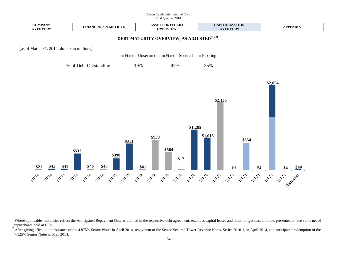#### <span id="page-24-0"></span>Crown Castle International Corp. First Quarter 2014



**.** 

<sup>&</sup>lt;sup>1</sup> Where applicable, maturities reflect the Anticipated Repayment Date as defined in the respective debt agreement; excludes capital leases and other obligations; amounts presented at face value net of repurchases held at CCIC.

<span id="page-24-1"></span><sup>&</sup>lt;sup>2</sup> After giving effect to the issuance of the 4.875% Senior Notes in April 2014, repayment of the Senior Secured Tower Revenue Notes, Series 2010-1, in April 2014, and anticipated redemption of the 7.125% Senior Notes in May 2014.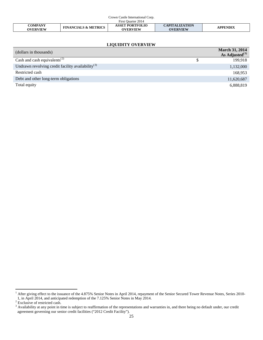| Crown Castle International Corp. |                                 |                        |                       |                 |
|----------------------------------|---------------------------------|------------------------|-----------------------|-----------------|
| First Ouarter 2014               |                                 |                        |                       |                 |
| <b>COMPANY</b>                   | <b>FINANCIALS &amp; METRICS</b> | <b>ASSET PORTFOLIO</b> | <b>CAPITALIZATION</b> | <b>APPENDIX</b> |
| OVERVIEW                         |                                 | <b>OVERVIEW</b>        | <b>OVERVIEW</b>       |                 |

# <span id="page-25-2"></span>**LIQUIDITY OVERVIEW**

| (dollars in thousands)                                        |   | <b>March 31, 2014</b><br>As Adjusted $^{(1)}$ |
|---------------------------------------------------------------|---|-----------------------------------------------|
| Cash and cash equivalents <sup>(2)</sup>                      | S | 199,918                                       |
| Undrawn revolving credit facility availability <sup>(3)</sup> |   | 1,132,000                                     |
| Restricted cash                                               |   | 168,953                                       |
| Debt and other long-term obligations                          |   | 11,620,687                                    |
| Total equity                                                  |   | 6,888,819                                     |

<sup>&</sup>lt;sup>1</sup> After giving effect to the issuance of the 4.875% Senior Notes in April 2014, repayment of the Senior Secured Tower Revenue Notes, Series 2010-1, in April 2014, and anticipated redemption of the 7.125% Senior Notes in May 2014.<br><sup>2</sup> Exclusive of restricted cash.<br><sup>3</sup> Availability at any point in time is subject to reaffirmation of the representations and warranties

<span id="page-25-1"></span><span id="page-25-0"></span><sup>&</sup>lt;sup>3</sup> Availability at any point in time is subject to reaffirmation of the representations and warranties in, and there being no default under, our credit agreement governing our senior credit facilities ("2012 Credit Facili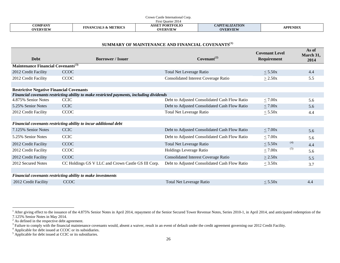|                                   |                                 | Castle International Corp.<br>`rown            |                                   |                 |
|-----------------------------------|---------------------------------|------------------------------------------------|-----------------------------------|-----------------|
| st Ouarter 2014<br>. urst         |                                 |                                                |                                   |                 |
| <b>COMPANY</b><br><b>OVERVIEW</b> | <b>FINANCIALS &amp; METRICS</b> | <b>T PORTFOLIO</b><br>ASSET<br><b>OVERVIEW</b> | CAPITALIZATION<br><b>OVERVIEW</b> | <b>APPENDIX</b> |

<span id="page-26-4"></span><span id="page-26-3"></span><span id="page-26-2"></span><span id="page-26-1"></span><span id="page-26-0"></span>

|  | SUMMARY OF MAINTENANCE AND FINANCIAL COVENANTS <sup>(1)</sup> |
|--|---------------------------------------------------------------|
|--|---------------------------------------------------------------|

| <b>Debt</b>                                     | <b>Borrower / Issuer</b>                                                                 | Covenant <sup>(2)</sup>                       | <b>Covenant Level</b><br>Requirement | As of<br>March 31,<br>2014 |
|-------------------------------------------------|------------------------------------------------------------------------------------------|-----------------------------------------------|--------------------------------------|----------------------------|
| Maintenance Financial Covenants <sup>(3)</sup>  |                                                                                          |                                               |                                      |                            |
| 2012 Credit Facility                            | <b>CCOC</b>                                                                              | <b>Total Net Leverage Ratio</b>               | $\leq$ 5.50x                         | 4.4                        |
| 2012 Credit Facility                            | CCOC                                                                                     | <b>Consolidated Interest Coverage Ratio</b>   | $\geq$ 2.50x                         | 5.5                        |
|                                                 |                                                                                          |                                               |                                      |                            |
| <b>Restrictive Negative Financial Covenants</b> |                                                                                          |                                               |                                      |                            |
|                                                 | Financial covenants restricting ability to make restricted payments, including dividends |                                               |                                      |                            |
| 4.875% Senior Notes                             | <b>CCIC</b>                                                                              | Debt to Adjusted Consolidated Cash Flow Ratio | $\leq 7.00x$                         | 5.6                        |
| 5.25% Senior Notes                              | <b>CCIC</b>                                                                              | Debt to Adjusted Consolidated Cash Flow Ratio | $\leq 7.00x$                         | 5.6                        |
| 2012 Credit Facility                            | <b>CCOC</b>                                                                              | <b>Total Net Leverage Ratio</b>               | $<$ 5.50 $x$                         | 4.4                        |
|                                                 |                                                                                          |                                               |                                      |                            |
|                                                 | Financial covenants restricting ability to incur additional debt                         |                                               |                                      |                            |
| 7.125% Senior Notes                             | <b>CCIC</b>                                                                              | Debt to Adjusted Consolidated Cash Flow Ratio | $\leq 7.00x$                         | 5.6                        |
| 5.25% Senior Notes                              | <b>CCIC</b>                                                                              | Debt to Adjusted Consolidated Cash Flow Ratio | $\leq 7.00x$                         | 5.6                        |
| 2012 Credit Facility                            | <b>CCOC</b>                                                                              | <b>Total Net Leverage Ratio</b>               | (4)<br>$\leq$ 5.50x                  | 4.4                        |
| 2012 Credit Facility                            | CCOC                                                                                     | Holdings Leverage Ratio                       | (5)<br>$\leq 7.00x$                  | 5.6                        |
| 2012 Credit Facility                            | <b>CCOC</b>                                                                              | <b>Consolidated Interest Coverage Ratio</b>   | $\geq$ 2.50x                         | 5.5                        |
| 2012 Secured Notes                              | CC Holdings GS V LLC and Crown Castle GS III Corp.                                       | Debt to Adjusted Consolidated Cash Flow Ratio | $\leq$ 3.50x                         | 3.7                        |
|                                                 |                                                                                          |                                               |                                      |                            |
|                                                 | Financial covenants restricting ability to make investments                              |                                               |                                      |                            |
| 2012 Credit Facility                            | <b>CCOC</b>                                                                              | Total Net Leverage Ratio                      | $<$ 5.50 $x$                         | 4.4                        |

**.** 

<sup>&</sup>lt;sup>1</sup> After giving effect to the issuance of the 4.875% Senior Notes in April 2014, repayment of the Senior Secured Tower Revenue Notes, Series 2010-1, in April 2014, and anticipated redemption of the 7.125% Senior Notes in May 2014.<br><sup>2</sup> As defined in the respective debt agreement.<br><sup>3</sup> Failure to comply with the financial maintenance covenants would, absent a waiver, result in an event of default under the credit agreem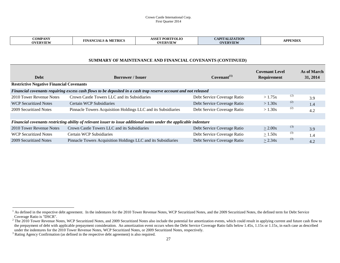#### <span id="page-27-1"></span><span id="page-27-0"></span>Crown Castle International Corp. First Quarter 2014

| $\mathbf{v}$<br><b>COMPAN</b><br><b>TIN</b><br>PD T7<br>I KIV<br>IVII<br>$\ddot{\phantom{a}}$<br><b>AVEDVIEW</b><br>$\mathbf{A}$ | <b>DODTEOL</b><br>. CCT<br><b>TOLIC</b><br>ורהיו<br>,,,<br>WEDVIEW | $- - -$ | APPENDIX |
|----------------------------------------------------------------------------------------------------------------------------------|--------------------------------------------------------------------|---------|----------|
|----------------------------------------------------------------------------------------------------------------------------------|--------------------------------------------------------------------|---------|----------|

# **SUMMARY OF MAINTENANCE AND FINANCIAL COVENANTS (CONTINUED)**

| <b>Debt</b>                                     | <b>Borrower / Issuer</b>                                                                                            | $Covenant^{(1)}$            | <b>Covenant Level</b><br>Requirement | As of March<br>31, 2014 |
|-------------------------------------------------|---------------------------------------------------------------------------------------------------------------------|-----------------------------|--------------------------------------|-------------------------|
| <b>Restrictive Negative Financial Covenants</b> |                                                                                                                     |                             |                                      |                         |
|                                                 | Financial covenants requiring excess cash flows to be deposited in a cash trap reserve account and not released     |                             |                                      |                         |
| 2010 Tower Revenue Notes                        | Crown Castle Towers LLC and its Subsidiaries                                                                        | Debt Service Coverage Ratio | (2)<br>>1.75x                        | 3.9                     |
| <b>WCP Securitized Notes</b>                    | Certain WCP Subsidiaries                                                                                            | Debt Service Coverage Ratio | (2)<br>> 1.30x                       | 1.4                     |
| 2009 Securitized Notes                          | Pinnacle Towers Acquisition Holdings LLC and its Subsidiaries                                                       | Debt Service Coverage Ratio | (2)<br>> 1.30x                       | 4.2                     |
|                                                 |                                                                                                                     |                             |                                      |                         |
|                                                 | Financial covenants restricting ability of relevant issuer to issue additional notes under the applicable indenture |                             |                                      |                         |
| 2010 Tower Revenue Notes                        | Crown Castle Towers LLC and its Subsidiaries                                                                        | Debt Service Coverage Ratio | (3)<br>>2.00x                        | 3.9                     |
| <b>WCP Securitized Notes</b>                    | Certain WCP Subsidiaries                                                                                            | Debt Service Coverage Ratio | (3)<br>>1.50x                        | 1.4                     |
| 2009 Securitized Notes                          | Pinnacle Towers Acquisition Holdings LLC and its Subsidiaries                                                       | Debt Service Coverage Ratio | (3)<br>> 2.34x                       | 4.2                     |

**.** 

<sup>&</sup>lt;sup>1</sup> As defined in the respective debt agreement. In the indentures for the 2010 Tower Revenue Notes, WCP Securitized Notes, and the 2009 Securitized Notes, the defined term for Debt Service Coverage Ratio is "DSCR".

<sup>&</sup>lt;sup>2</sup> The 2010 Tower Revenue Notes, WCP Securitized Notes, and 2009 Securitized Notes also include the potential for amortization events, which could result in applying current and future cash flow to the prepayment of debt with applicable prepayment consideration. An amortization event occurs when the Debt Service Coverage Ratio falls below 1.45x, 1.15x or 1.15x, in each case as described under the indentures for the 2

<span id="page-27-2"></span> $3$  Rating Agency Confirmation (as defined in the respective debt agreement) is also required.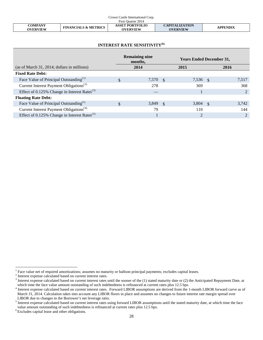| Crown Castle International Corp.  |                                 |                                           |                                          |                 |  |
|-----------------------------------|---------------------------------|-------------------------------------------|------------------------------------------|-----------------|--|
| First Ouarter 2014                |                                 |                                           |                                          |                 |  |
| <b>COMPANY</b><br><b>OVERVIEW</b> | <b>FINANCIALS &amp; METRICS</b> | <b>ASSET PORTFOLIO</b><br><b>OVERVIEW</b> | <b>CAPITALIZATION</b><br><b>OVERVIEW</b> | <b>APPENDIX</b> |  |

# **INTEREST RATE SENSITIVITY(6)**

|                                                          | <b>Remaining nine</b><br>months, |      | <b>Years Ended December 31,</b> |      |               |
|----------------------------------------------------------|----------------------------------|------|---------------------------------|------|---------------|
| (as of March 31, 2014; dollars in millions)              | 2014                             |      | 2015                            |      | 2016          |
| <b>Fixed Rate Debt:</b>                                  |                                  |      |                                 |      |               |
| Face Value of Principal Outstanding <sup>(1)</sup>       | \$<br>7,570                      | -\$  | 7,536 \$                        |      | 7,517         |
| Current Interest Payment Obligations <sup>(2)</sup>      | 278                              |      | 369                             |      | 368           |
| Effect of 0.125% Change in Interest Rates $^{(3)}$       |                                  |      |                                 |      | $\mathcal{D}$ |
| <b>Floating Rate Debt:</b>                               |                                  |      |                                 |      |               |
| Face Value of Principal Outstanding <sup>(1)</sup>       | \$<br>3,849                      | - \$ | 3,804                           | - \$ | 3,742         |
| Current Interest Payment Obligations <sup>(4)</sup>      | 79                               |      | 110                             |      | 144           |
| Effect of 0.125% Change in Interest Rates <sup>(5)</sup> |                                  |      |                                 |      |               |

<span id="page-28-1"></span>

<span id="page-28-0"></span><sup>&</sup>lt;sup>1</sup> Face value net of required amortizations; assumes no maturity or balloon principal payments; excludes capital leases.<br>
<sup>2</sup> Interest expense calculated based on current interest rates.<br>
<sup>3</sup> Interest expense calculated

<span id="page-28-2"></span><sup>&</sup>lt;sup>4</sup> Interest expense calculated based on current interest rates. Forward LIBOR assumptions are derived from the 1-month LIBOR forward curve as of March 31, 2014. Calculation takes into account any LIBOR floors in place and assumes no changes to future interest rate margin spread over LIBOR due to changes in the Borrower's net leverage ratio.

<span id="page-28-3"></span> $\frac{1}{2}$  Interest expense calculated based on current interest rates using forward LIBOR assumptions until the stated maturity date, at which time the face value amount outstanding of such indebtedness is refinanced at current rates plus 12.5 bps. 6 Excludes capital lease and other obligations.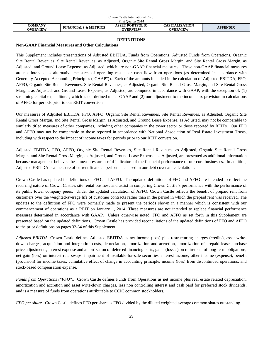|                            |                                 | Crown Castle International Corp.          |                                          |                 |
|----------------------------|---------------------------------|-------------------------------------------|------------------------------------------|-----------------|
|                            |                                 | First Ouarter 2014                        |                                          |                 |
| COMPANY<br><b>OVERVIEW</b> | <b>FINANCIALS &amp; METRICS</b> | <b>ASSET PORTFOLIO</b><br><b>OVERVIEW</b> | <b>CAPITALIZATION</b><br><b>OVERVIEW</b> | <b>APPENDIX</b> |
|                            |                                 |                                           |                                          |                 |

#### **DEFINITIONS**

# **Non-GAAP Financial Measures and Other Calculations**

This Supplement includes presentations of Adjusted EBITDA, Funds from Operations, Adjusted Funds from Operations, Organic Site Rental Revenues, Site Rental Revenues, as Adjusted, Organic Site Rental Gross Margin, and Site Rental Gross Margin, as Adjusted, and Ground Lease Expense, as Adjusted, which are non-GAAP financial measures. These non-GAAP financial measures are not intended as alternative measures of operating results or cash flow from operations (as determined in accordance with Generally Accepted Accounting Principles ("GAAP")). Each of the amounts included in the calculation of Adjusted EBITDA, FFO, AFFO, Organic Site Rental Revenues, Site Rental Revenues, as Adjusted, Organic Site Rental Gross Margin, and Site Rental Gross Margin, as Adjusted, and Ground Lease Expense, as Adjusted, are computed in accordance with GAAP, with the exception of: (1) sustaining capital expenditures, which is not defined under GAAP and (2) our adjustment to the income tax provision in calculations of AFFO for periods prior to our REIT conversion.

Our measures of Adjusted EBITDA, FFO, AFFO, Organic Site Rental Revenues, Site Rental Revenues, as Adjusted, Organic Site Rental Gross Margin, and Site Rental Gross Margin, as Adjusted, and Ground Lease Expense, as Adjusted, may not be comparable to similarly titled measures of other companies, including other companies in the tower sector or those reported by REITs. Our FFO and AFFO may not be comparable to those reported in accordance with National Association of Real Estate Investment Trusts, including with respect to the impact of income taxes for periods prior to our REIT conversion.

Adjusted EBITDA, FFO, AFFO, Organic Site Rental Revenues, Site Rental Revenues, as Adjusted, Organic Site Rental Gross Margin, and Site Rental Gross Margin, as Adjusted, and Ground Lease Expense, as Adjusted, are presented as additional information because management believes these measures are useful indicators of the financial performance of our core businesses. In addition, Adjusted EBITDA is a measure of current financial performance used in our debt covenant calculations.

Crown Castle has updated its definitions of FFO and AFFO. The updated definitions of FFO and AFFO are intended to reflect the recurring nature of Crown Castle's site rental business and assist in comparing Crown Castle's performance with the performance of its public tower company peers. Under the updated calculation of AFFO, Crown Castle reflects the benefit of prepaid rent from customers over the weighted-average life of customer contracts rather than in the period in which the prepaid rent was received. The updates to the definition of FFO were primarily made to present the periods shown in a manner which is consistent with our commencement of operations as a REIT on January 1, 2014. These measures are not intended to replace financial performance measures determined in accordance with GAAP. Unless otherwise noted, FFO and AFFO as set forth in this Supplement are presented based on the updated definitions. Crown Castle has provided reconciliations of the updated definitions of FFO and AFFO to the prior definitions on pages 32-34 of this Supplement.

*Adjusted EBITDA.* Crown Castle defines Adjusted EBITDA as net income (loss) plus restructuring charges (credits), asset writedown charges, acquisition and integration costs, depreciation, amortization and accretion, amortization of prepaid lease purchase price adjustments, interest expense and amortization of deferred financing costs, gains (losses) on retirement of long-term obligations, net gain (loss) on interest rate swaps, impairment of available-for-sale securities, interest income, other income (expense), benefit (provision) for income taxes, cumulative effect of change in accounting principle, income (loss) from discontinued operations, and stock-based compensation expense.

*Funds from Operations ("FFO").* Crown Castle defines Funds from Operations as net income plus real estate related depreciation, amortization and accretion and asset write-down charges, less non controlling interest and cash paid for preferred stock dividends, and is a measure of funds from operations attributable to CCIC common stockholders.

*FFO per share.* Crown Castle defines FFO per share as FFO divided by the diluted weighted average common shares outstanding.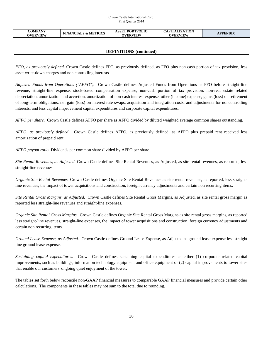#### Crown Castle International Corp. First Quarter 2014

| <b>COMPANY</b><br><b>ASSET PORTFOLIO</b><br><b>FINANCIALS &amp; METRICS</b><br><b>OVERVIEW</b><br><b>OVERVIEW</b> | <b>CAPITALIZATION</b><br><b>APPENDIX</b><br><b>OVERVIEW</b> |
|-------------------------------------------------------------------------------------------------------------------|-------------------------------------------------------------|
|-------------------------------------------------------------------------------------------------------------------|-------------------------------------------------------------|

# **DEFINITIONS (continued)**

*FFO, as previously defined.* Crown Castle defines FFO, as previously defined, as FFO plus non cash portion of tax provision, less asset write-down charges and non controlling interests.

*Adjusted Funds from Operations ("AFFO").* Crown Castle defines Adjusted Funds from Operations as FFO before straight-line revenue, straight-line expense, stock-based compensation expense, non-cash portion of tax provision, non-real estate related depreciation, amortization and accretion, amortization of non-cash interest expense, other (income) expense, gains (loss) on retirement of long-term obligations, net gain (loss) on interest rate swaps, acquisition and integration costs, and adjustments for noncontrolling interests, and less capital improvement capital expenditures and corporate capital expenditures.

*AFFO per share.* Crown Castle defines AFFO per share as AFFO divided by diluted weighted average common shares outstanding.

*AFFO, as previously defined.* Crown Castle defines AFFO, as previously defined, as AFFO plus prepaid rent received less amortization of prepaid rent.

*AFFO payout ratio*. Dividends per common share divided by AFFO per share.

*Site Rental Revenues, as Adjusted.* Crown Castle defines Site Rental Revenues, as Adjusted, as site rental revenues, as reported, less straight-line revenues.

*Organic Site Rental Revenues.* Crown Castle defines Organic Site Rental Revenues as site rental revenues, as reported, less straightline revenues, the impact of tower acquisitions and construction, foreign currency adjustments and certain non recurring items.

*Site Rental Gross Margins, as Adjusted*. Crown Castle defines Site Rental Gross Margins, as Adjusted, as site rental gross margin as reported less straight-line revenues and straight-line expenses.

*Organic Site Rental Gross Margins*. Crown Castle defines Organic Site Rental Gross Margins as site rental gross margins, as reported less straight-line revenues, straight-line expenses, the impact of tower acquisitions and construction, foreign currency adjustments and certain non recurring items.

*Ground Lease Expense, as Adjusted.* Crown Castle defines Ground Lease Expense, as Adjusted as ground lease expense less straight line ground lease expense.

*Sustaining capital expenditures.* Crown Castle defines sustaining capital expenditures as either (1) corporate related capital improvements, such as buildings, information technology equipment and office equipment or (2) capital improvements to tower sites that enable our customers' ongoing quiet enjoyment of the tower.

The tables set forth below reconcile non-GAAP financial measures to comparable GAAP financial measures and provide certain other calculations. The components in these tables may not sum to the total due to rounding.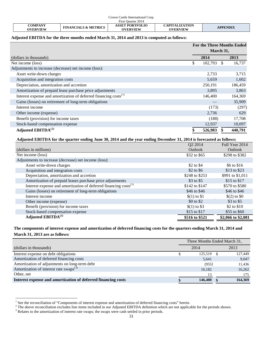| Crown Castle International Corp. |                                 |                                    |                                          |                 |  |
|----------------------------------|---------------------------------|------------------------------------|------------------------------------------|-----------------|--|
|                                  |                                 | First Ouarter 2014                 |                                          |                 |  |
| COMPANY<br><b>OVERVIEW</b>       | <b>FINANCIALS &amp; METRICS</b> | <b>ASSET PORTFOLIO</b><br>OVERVIEW | <b>CAPITALIZATION</b><br><b>OVERVIEW</b> | <b>APPENDIX</b> |  |

# **Adjusted EBITDA for the three months ended March 31, 2014 and 2013 is computed as follows:**

|                                                                              | <b>For the Three Months Ended</b><br>March 31, |         |    |         |  |
|------------------------------------------------------------------------------|------------------------------------------------|---------|----|---------|--|
| (dollars in thousands)                                                       |                                                | 2014    |    | 2013    |  |
| Net income (loss)                                                            | \$                                             | 102,793 | -S | 16,737  |  |
| Adjustments to increase (decrease) net income (loss):                        |                                                |         |    |         |  |
| Asset write-down charges                                                     |                                                | 2,733   |    | 3,715   |  |
| Acquisition and integration costs                                            |                                                | 5,659   |    | 1,602   |  |
| Depreciation, amortization and accretion                                     |                                                | 250,191 |    | 186,459 |  |
| Amortization of prepaid lease purchase price adjustments                     |                                                | 3,895   |    | 3,863   |  |
| Interest expense and amortization of deferred financing costs <sup>(1)</sup> |                                                | 146,400 |    | 164,369 |  |
| Gains (losses) on retirement of long-term obligations                        |                                                |         |    | 35,909  |  |
| Interest income                                                              |                                                | (173)   |    | (297)   |  |
| Other income (expense)                                                       |                                                | 2,736   |    | 629     |  |
| Benefit (provision) for income taxes                                         |                                                | (188)   |    | 17,708  |  |
| Stock-based compensation expense                                             |                                                | 12,937  |    | 10,097  |  |
| Adjusted EBITDA $^{(2)}$                                                     |                                                | 526,983 |    | 440,791 |  |

# **Adjusted EBITDA for the quarter ending June 30, 2014 and the year ending December 31, 2014 is forecasted as follows:**

|                                                                              | Q2 2014        | Full Year 2014     |
|------------------------------------------------------------------------------|----------------|--------------------|
| (dollars in millions)                                                        | Outlook        | Outlook            |
| Net income (loss)                                                            | \$32 to \$65   | \$298 to \$382     |
| Adjustments to increase (decrease) net income (loss):                        |                |                    |
| Asset write-down charges                                                     | \$2 to \$4     | \$6 to \$16        |
| Acquisition and integration costs                                            | $$2$ to $$6$   | \$13 to \$23       |
| Depreciation, amortization and accretion                                     | \$248 to \$253 | \$991 to \$1,011   |
| Amortization of prepaid leases purchase price adjustments                    | \$3 to \$5     | \$15 to \$17       |
| Interest expense and amortization of deferred financing costs <sup>(1)</sup> | \$142 to \$147 | \$570 to \$580     |
| Gains (losses) on retirement of long-term obligations                        | \$46 to \$46   | \$46 to \$46       |
| Interest income                                                              | $(1)$ to \$1   | $(2)$ to $\$0$     |
| Other income (expense)                                                       | $$0$ to $$2$   | $$3$ to $$5$       |
| Benefit (provision) for income taxes                                         | $(1)$ to \$3   | \$2 to \$10        |
| Stock-based compensation expense                                             | \$15 to \$17   | \$55 to \$60       |
| Adjusted EBITD $A^{(2)}$                                                     | \$516 to \$521 | \$2,066 to \$2,081 |

# **The components of interest expense and amortization of deferred financing costs for the quarters ending March 31, 2014 and March 31, 2013 are as follows:**

|                                                               | Three Months Ended March 31, |         |  |         |
|---------------------------------------------------------------|------------------------------|---------|--|---------|
| (dollars in thousands)                                        |                              | 2014    |  | 2013    |
| Interest expense on debt obligations                          |                              | 125,519 |  | 127,449 |
| Amortization of deferred financing costs                      |                              | 5,641   |  | 9,047   |
| Amortization of adjustments on long-term debt                 |                              | (955)   |  | 11,436  |
| Amortization of interest rate swaps $^{(3)}$                  |                              | 16,182  |  | 16,262  |
| Other, net                                                    |                              | 13      |  | 175     |
| Interest expense and amortization of deferred financing costs |                              | 146,400 |  | 164,369 |

<span id="page-31-2"></span> $1$  See the reconciliation of "Components of interest expense and amortization of deferred financing costs" herein.

<span id="page-31-0"></span><sup>&</sup>lt;sup>2</sup> The above reconciliation excludes line items included in our Adjusted EBITDA definition which are not applicable for the periods shown.<sup>3</sup><br>Relates to the amortization of interest rate swaps; the swaps were cash settled

<span id="page-31-1"></span>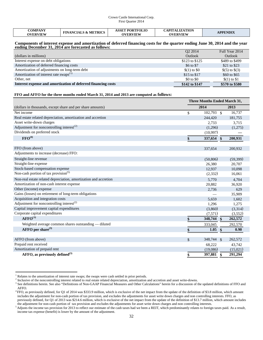#### Crown Castle International Corp. First Quarter 2014

| COMPANY<br><b>FINANCIALS &amp; METRICS</b><br><b>OVERVIEW</b> | <b>ASSET PORTFOLIO</b><br><b>OVERVIEW</b> | <b>CAPITALIZATION</b><br><b>OVERVIEW</b> | <b>APPENDIX</b> |
|---------------------------------------------------------------|-------------------------------------------|------------------------------------------|-----------------|
|---------------------------------------------------------------|-------------------------------------------|------------------------------------------|-----------------|

#### **Components of interest expense and amortization of deferred financing costs for the quarter ending June 30, 2014 and the year ending December 31, 2014 are forecasted as follows:**

|                                                               | Q2 2014        | Full Year 2014 |
|---------------------------------------------------------------|----------------|----------------|
| (dollars in millions)                                         | <b>Outlook</b> | Outlook        |
| Interest expense on debt obligations                          | \$123 to \$125 | \$489 to \$499 |
| Amortization of deferred financing costs                      | \$6 to \$7     | \$21 to \$23   |
| Amortization of adjustments on long-term debt                 | $$(1)$ to $$0$ | $(5)$ to $(3)$ |
| Amortization of interest rate swaps <sup>(1)</sup>            | \$15 to \$17   | \$60 to \$65   |
| Other, net                                                    | \$0 to \$0     | $$(1)$ to $$1$ |
| Interest expense and amortization of deferred financing costs | \$142 to \$147 | \$570 to \$580 |

#### **FFO and AFFO for the three months ended March 31, 2014 and 2013 are computed as follows:**

|                                                                  | <b>Three Months Ended March 31,</b> |                               |          |  |
|------------------------------------------------------------------|-------------------------------------|-------------------------------|----------|--|
| (dollars in thousands, except share and per share amounts)       |                                     | 2014                          | 2013     |  |
| Net income                                                       | \$                                  | $102,793$ \$                  | 16,737   |  |
| Real estate related depreciation, amortization and accretion     |                                     | 244,420                       | 181,755  |  |
| Asset write-down charges                                         |                                     | 2,733                         | 3,715    |  |
| Adjustment for noncontrolling interest <sup>(2)</sup>            |                                     | (1,296)                       | (1,275)  |  |
| Dividends on preferred stock                                     |                                     | (10,997)                      |          |  |
| $\mathbf{FFO}^{(4)}$                                             | \$                                  | 337,654<br>$\mathbf{\hat{s}}$ | 200,931  |  |
| FFO (from above)                                                 |                                     | 337,654                       | 200,932  |  |
| Adjustments to increase (decrease) FFO:                          |                                     |                               |          |  |
| Straight-line revenue                                            |                                     | (50, 806)                     | (59,399) |  |
| Straight-line expense                                            |                                     | 26,380                        | 20,707   |  |
| Stock-based compensation expense                                 |                                     | 12,937                        | 10,098   |  |
| Non-cash portion of tax provision $(5)$                          |                                     | (2,332)                       | 16,061   |  |
| Non-real estate related depreciation, amortization and accretion |                                     | 5,770                         | 4,704    |  |
| Amortization of non-cash interest expense                        |                                     | 20,882                        | 36,920   |  |
| Other (income) expense                                           |                                     | 2,736                         | 629      |  |
| Gains (losses) on retirement of long-term obligations            |                                     |                               | 35,909   |  |
| Acquisition and integration costs                                |                                     | 5.659                         | 1,602    |  |
| Adjustment for noncontrolling interest <sup>(2)</sup>            |                                     | 1,296                         | 1,275    |  |
| Capital improvement capital expenditures                         |                                     | (3,860)                       | (3,314)  |  |
| Corporate capital expenditures                                   |                                     | (7,571)                       | (3,552)  |  |
| AFFO <sup>(3)</sup>                                              | \$                                  | 348,744<br>$\mathbf{s}$       | 262,572  |  |
| Weighted average common shares outstanding - diluted             |                                     | 333,045                       | 292,570  |  |
| AFFO per share $^{(3)}$                                          | \$                                  | 1.05<br>\$                    | 0.90     |  |
|                                                                  |                                     |                               |          |  |
| AFFO (from above)                                                | $\mathcal{S}$                       | 348,744 \$                    | 262,572  |  |
| Prepaid rent received                                            |                                     | 68,222                        | 43,742   |  |
| Amortization of prepaid rent                                     |                                     | (19,086)                      | (15,021) |  |
| AFFO, as previously defined $^{(3)}$                             | \$                                  | 397,881<br>\$                 | 291,294  |  |

 $1$  Relates to the amortization of interest rate swaps; the swaps were cash settled in prior periods.

<span id="page-32-0"></span><sup>2</sup> Inclusive of the noncontrolling interest related to real estate related depreciation, amortization and accretion and asset write-downs.

<span id="page-32-1"></span><sup>&</sup>lt;sup>3</sup> See definitions herein. See also "Definitions of Non-GAAP Financial Measures and Other Calculations" herein for a discussion of the updated definitions of FFO and AFFO.<br><sup>4</sup>FFO, as previously defined, for Q1 of 2014 was \$333.9 million, which is exclusive of the net impact from the update of the definition of \$3.8 million, which amount

<span id="page-32-2"></span>includes the adjustment for non-cash portion of tax provision, and excludes the adjustments for asset write down charges and non controlling interests. FFO, as previously defined, for Q1 of 2013 was \$214.6 million, which is exclusive of the net impact from the update of the definition of \$13.7 million, which amount includes

the adjustment for non-cash portion of tax provision and excludes the adjustments for asset write down charges and non controlling interests.  $<sup>5</sup>$  Adjusts the income tax provision for 2013 to reflect our estimate of the cash taxes had we been a REIT, which predominantly relates to foreign taxes paid. As a result,</sup>

income tax expense (benefit) is lower by the amount of the adjustment.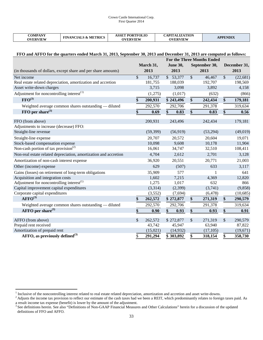| COMPANY<br><b>FINANCIALS &amp; METRICS</b><br>OVERVIEW | PORTFOLIO<br><b>ASSET</b><br><b>OVERVIEW</b> | CAPITALIZATION<br><b>DVERVIEW</b> | <b>APPENDIX</b> |
|--------------------------------------------------------|----------------------------------------------|-----------------------------------|-----------------|
|--------------------------------------------------------|----------------------------------------------|-----------------------------------|-----------------|

# **FFO and AFFO for the quarters ended March 31, 2013, September 30, 2013 and December 31, 2013 are computed as follows:**

|                                                                  | <b>For the Three Months Ended</b> |           |                 |    |               |               |              |
|------------------------------------------------------------------|-----------------------------------|-----------|-----------------|----|---------------|---------------|--------------|
|                                                                  |                                   | March 31, | <b>June 30,</b> |    | September 30, |               | December 31, |
| (in thousands of dollars, except share and per share amounts)    |                                   | 2013      | 2013            |    | 2013          |               | 2013         |
| Net income                                                       | \$                                | 16,737    | \$53,377        | \$ | 46,467        | $\mathcal{S}$ | (22, 681)    |
| Real estate related depreciation, amortization and accretion     |                                   | 181,755   | 188,039         |    | 192,707       |               | 198,569      |
| Asset write-down charges                                         |                                   | 3,715     | 3,098           |    | 3,892         |               | 4,158        |
| Adjustment for noncontrolling interest <sup>(1)</sup>            |                                   | (1,275)   | (1,017)         |    | (632)         |               | (866)        |
| $\text{FFO}^{(3)}$                                               | \$                                | 200,931   | \$243,496       | \$ | 242,434       | \$            | 179,181      |
| Weighted average common shares outstanding — diluted             |                                   | 292,570   | 292,706         |    | 291,378       |               | 319,634      |
| $FFO$ per share <sup>(3)</sup>                                   | \$                                | 0.69      | \$<br>0.83      | \$ | 0.83          | \$            | 0.56         |
| FFO (from above)                                                 |                                   | 200,931   | 243,496         |    | 242,434       |               | 179,181      |
| Adjustments to increase (decrease) FFO:                          |                                   |           |                 |    |               |               |              |
| Straight-line revenue                                            |                                   | (59, 399) | (56, 919)       |    | (53,294)      |               | (49, 019)    |
| Straight-line expense                                            |                                   | 20,707    | 20,572          |    | 20,604        |               | 19,071       |
| Stock-based compensation expense                                 |                                   | 10,098    | 9,608           |    | 10,178        |               | 11,904       |
| Non-cash portion of tax provision <sup>(2)</sup>                 |                                   | 16,061    | 34,747          |    | 32,510        |               | 108,411      |
| Non-real estate related depreciation, amortization and accretion |                                   | 4,704     | 2,612           |    | 2,701         |               | 3,128        |
| Amortization of non-cash interest expense                        |                                   | 36,920    | 20,551          |    | 20,771        |               | 21,003       |
| Other (income) expense                                           |                                   | 629       | (507)           |    | 633           |               | 3,117        |
| Gains (losses) on retirement of long-term obligations            |                                   | 35,909    | 577             |    |               |               | 641          |
| Acquisition and integration costs                                |                                   | 1,602     | 7,215           |    | 4,369         |               | 12,820       |
| Adjustment for noncontrolling interest <sup>(1)</sup>            |                                   | 1,275     | 1,017           |    | 632           |               | 866          |
| Capital improvement capital expenditures                         |                                   | (3,314)   | (2,399)         |    | (3,741)       |               | (9,858)      |
| Corporate capital expenditures                                   |                                   | (3,552)   | (7,694)         |    | (6, 478)      |               | (10,685)     |
| $AFFO^{(3)}$                                                     | \$                                | 262,572   | \$272,877       | \$ | 271,319       | \$            | 290,579      |
| Weighted average common shares outstanding — diluted             |                                   | 292,570   | 292,706         |    | 291,378       |               | 319,634      |
| AFFO per share <sup>(3)</sup>                                    | \$                                | 0.90      | \$<br>0.93      | \$ | 0.93          | \$            | 0.91         |
| AFFO (from above)                                                | \$                                | 262,572   | \$272,877       | \$ | 271,319       | $\mathcal{S}$ | 290,579      |
| Prepaid rent received                                            |                                   | 43,742    | 45,947          |    | 63,940        |               | 87,822       |
| Amortization of prepaid rent                                     |                                   | (15,021)  | (14, 932)       |    | (17,105)      |               | (19,671)     |
| AFFO, as previously defined $^{(3)}$                             | \$                                | 291,294   | \$303,892       | \$ | 318,154       | \$            | 358,730      |

<span id="page-33-0"></span><sup>&</sup>lt;sup>1</sup> Inclusive of the noncontrolling interest related to real estate related depreciation, amortization and accretion and asset write-downs.<br><sup>2</sup> Adjusts the income tax provision to reflect our estimate of the cash taxes ha a result income tax expense (benefit) is lower by the amount of the adjustment.<br><sup>3</sup> See definitions herein. See also "Definitions of Non-GAAP Financial Measures and Other Calculations" herein for a discussion of the update

definitions of FFO and AFFO.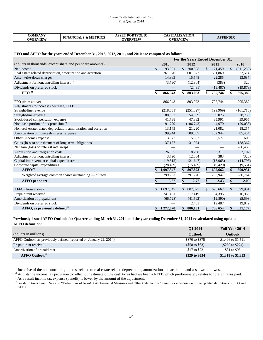#### Crown Castle International Corp. First Quarter 2014

#### **FFO and AFFO for the years ended December 31, 2013, 2012, 2011, and 2010 are computed as follows:**

|                                                                  | For the Years Ended December 31, |            |               |            |               |                          |               |           |
|------------------------------------------------------------------|----------------------------------|------------|---------------|------------|---------------|--------------------------|---------------|-----------|
| (dollars in thousands, except share and per share amounts)       |                                  | 2013       |               | 2012       |               | 2011                     |               | 2010      |
| Net income                                                       | $\mathbf{\$}$                    | 93,901     | $\mathcal{S}$ | 200,888    | $\mathcal{S}$ | 171,459                  | $\mathcal{S}$ | (311,259) |
| Real estate related depreciation, amortization and accretion     |                                  | 761,070    |               | 601,372    |               | 531,869                  |               | 522,514   |
| Asset write-down charges                                         |                                  | 14,863     |               | 15,548     |               | 22,285                   |               | 13,687    |
| Adjustment for noncontrolling interest <sup>(1)</sup>            |                                  | (3,790)    |               | (12, 304)  |               | (383)                    |               | 320       |
| Dividends on preferred stock                                     |                                  |            |               | (2,481)    |               | (19, 487)                |               | (19, 879) |
| $\text{FFO}^{(3)}$                                               | \$                               | 866,043    | \$            | 803,023    | \$            | 705,744                  | \$            | 205,382   |
|                                                                  |                                  |            |               |            |               |                          |               |           |
| FFO (from above)                                                 |                                  | 866,043    |               | 803,023    |               | 705,744                  |               | 205,382   |
| Adjustments to increase (decrease) FFO:                          |                                  |            |               |            |               |                          |               |           |
| Straight-line revenue                                            |                                  | (218, 631) |               | (251, 327) |               | (199,969)                |               | (161,716) |
| Straight-line expense                                            |                                  | 80,953     |               | 54,069     |               | 39,025                   |               | 38,759    |
| Stock-based compensation expense                                 |                                  | 41,788     |               | 47,382     |               | 35,991                   |               | 39,965    |
| Non-cash portion of tax provision <sup>(2)</sup>                 |                                  | 191,729    |               | (106,742)  |               | 4,970                    |               | (29,033)  |
| Non-real estate related depreciation, amortization and accretion |                                  | 13,145     |               | 21,220     |               | 21,082                   |               | 18,257    |
| Amortization of non-cash interest expense                        |                                  | 99,244     |               | 109,337    |               | 102,944                  |               | 85,454    |
| Other (income) expense                                           |                                  | 3,872      |               | 5,392      |               | 5,577                    |               | 603       |
| Gains (losses) on retirement of long-term obligations            |                                  | 37,127     |               | 131,974    |               |                          |               | 138,367   |
| Net gain (loss) on interest rate swaps                           |                                  |            |               |            |               | $\overline{\phantom{0}}$ |               | 286,435   |
| Acquisition and integration costs                                |                                  | 26,005     |               | 18,298     |               | 3,311                    |               | 2,102     |
| Adjustment for noncontrolling interest <sup>(1)</sup>            |                                  | 3,790      |               | 12,304     |               | 383                      |               | (320)     |
| Capital improvement capital expenditures                         |                                  | (19,312)   |               | (21, 647)  |               | (13,965)                 |               | (14,795)  |
| Corporate capital expenditures                                   |                                  | (28, 409)  |               | (15, 459)  |               | (9,429)                  |               | (9, 531)  |
| $AFFO^{(3)}$                                                     |                                  | 1,097,347  | \$            | 807,823    | \$            | 695,662                  | \$            | 599,931   |
| Weighted average common shares outstanding — diluted             |                                  | 299,293    |               | 291,270    |               | 285,947                  |               | 286,764   |
| $AFFO$ per share <sup>(3)</sup>                                  |                                  | 3.67       | \$            | 2.77       | \$            | 2.43                     | \$            | 2.09      |
| AFFO (from above)                                                | \$                               | 1,097,347  | \$            | 807,823    | \$            | 695,662                  | \$            | 599,931   |
| Prepaid rent received                                            |                                  | 241,451    |               | 117,419    |               | 34,395                   |               | 16,965    |
| Amortization of prepaid rent                                     |                                  | (66, 728)  |               | (41, 592)  |               | (12,890)                 |               | (5,598)   |
| Dividends on preferred stock                                     |                                  |            |               | 2,481      |               | 19,487                   |               | 19,879    |
|                                                                  |                                  |            |               |            |               |                          |               |           |
| AFFO, as previously defined $^{(3)}$                             | \$                               | 1,272,070  | \$            | 886,131    | \$            | 736,654                  | \$            | 631,177   |

## **Previously issued AFFO Outlook for Quarter ending March 31, 2014 and the year ending December 31, 2014 recalculated using updated AFFO definition:**

|                                                                    | O1 2014          | Full Year 2014     |
|--------------------------------------------------------------------|------------------|--------------------|
| (dollars in millions)                                              | <b>Outlook</b>   | Outlook            |
| AFFO Outlook, as previously defined (reported on January 22, 2014) | \$370 to \$375   | \$1,496 to \$1,511 |
| Prepaid rent received                                              | (\$58\$ to \$63) | (\$259\$ to \$274) |
| Amortization of prepaid rent                                       | \$17 to \$22     | \$81 to \$96       |
| $AFFO\text{ Outlook}^{(3)}$                                        | \$329 to \$334   | \$1,318 to \$1,333 |

<span id="page-34-0"></span>

<sup>&</sup>lt;sup>1</sup> Inclusive of the noncontrolling interest related to real estate related depreciation, amortization and accretion and asset write-downs.<br><sup>2</sup> Adjusts the income tax provision to reflect our estimate of the cash taxes ha As a result income tax expense (benefit) is lower by the amount of the adjustment.<br><sup>3</sup> See definitions herein. See also "Definitions of Non-GAAP Financial Measures and Other Calculations" herein for a discussion of the upd

<span id="page-34-1"></span>AFFO.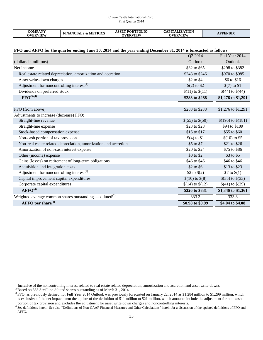#### Crown Castle International Corp. First Quarter 2014

| COMPANY         | <b>ASSET PORTFOLIO</b><br><b>FINANCIALS &amp; METRICS</b> | <b>CAPITALIZATION</b> | <b>APPENDIX</b> |  |
|-----------------|-----------------------------------------------------------|-----------------------|-----------------|--|
| <b>OVERVIEW</b> |                                                           | <b>OVERVIEW</b>       | <b>OVERVIEW</b> |  |

# **FFO and AFFO for the quarter ending June 30, 2014 and the year ending December 31, 2014 is forecasted as follows:**

|                                                                     | Q2 2014            | Full Year 2014         |
|---------------------------------------------------------------------|--------------------|------------------------|
| (dollars in millions)                                               | Outlook            | Outlook                |
| Net income                                                          | \$32 to \$65       | \$298 to \$382         |
| Real estate related depreciation, amortization and accretion        | \$243 to \$246     | \$970 to \$985         |
| Asset write-down charges                                            | \$2 to \$4         | \$6 to \$16            |
| Adjustment for noncontrolling interest $^{(1)}$                     | \$(2) to \$2\$     | $$(7)$ to \$1          |
| Dividends on preferred stock                                        | $$(11)$ to $$(11)$ | $$(44)$ to $$(44)$     |
| $\text{FFO}^{(3)(4)}$                                               | \$283 to \$288     | \$1,276 to \$1,291     |
|                                                                     |                    |                        |
| FFO (from above)                                                    | \$283 to \$288     | \$1,276 to \$1,291     |
| Adjustments to increase (decrease) FFO:                             |                    |                        |
| Straight-line revenue                                               | $$(55)$ to $$(50)$ | $$(196)$ to $$(181)$   |
| Straight-line expense                                               | $$23$ to $$28$     | \$94 to \$109          |
| Stock-based compensation expense                                    | \$15 to \$17       | \$55 to \$60           |
| Non-cash portion of tax provision                                   | $$(4)$ to $$1$     | $$(10)$ to \$5         |
| Non-real estate related depreciation, amortization and accretion    | \$5 to \$7         | \$21 to \$26           |
| Amortization of non-cash interest expense                           | \$20 to \$24       | \$75 to \$86           |
| Other (income) expense                                              | \$0 to \$2         | \$3 to \$5             |
| Gains (losses) on retirement of long-term obligations               | \$46 to \$46       | \$46 to \$46           |
| Acquisition and integration costs                                   | \$2 to \$6         | \$13 to \$23           |
| Adjustment for noncontrolling interest $^{(1)}$                     | \$2 to $$(2)$      | \$7 to $$(1)$          |
| Capital improvement capital expenditures                            | $$(10)$ to $$(8)$  | \$ $(35)$ to \$ $(33)$ |
| Corporate capital expenditures                                      | $$(14)$ to $$(12)$ | $$(41)$ to $$(39)$     |
| AFFO <sup>(4)</sup>                                                 | \$326 to \$331     | \$1,346 to \$1,361     |
| Weighted average common shares outstanding — diluted <sup>(2)</sup> | 333.3              | 333.3                  |
| AFFO per share $(4)$                                                | \$0.98 to \$0.99   | \$4.04 to \$4.08       |

 $1$  Inclusive of the noncontrolling interest related to real estate related depreciation, amortization and accretion and asset write-downs  $2$  Based on 333.3 million diluted shares outstanding as of March 31, 2014.

<span id="page-35-0"></span><sup>&</sup>lt;sup>3</sup> FFO, as previously defined, for Full Year 2014 Outlook was previously forecasted on January 22, 2014 as \$1,284 million to \$1,299 million, which is exclusive of the net impact form the update of the definition of \$11 million to \$21 million, which amounts include the adjustment for non-cash portion of tax provision and excludes the adjustment for asset write down charges and noncontrolling interests.<br><sup>4</sup> See definitions herein. See also "Definitions of Non-GAAP Financial Measures and Other Calculations" herei

AFFO.